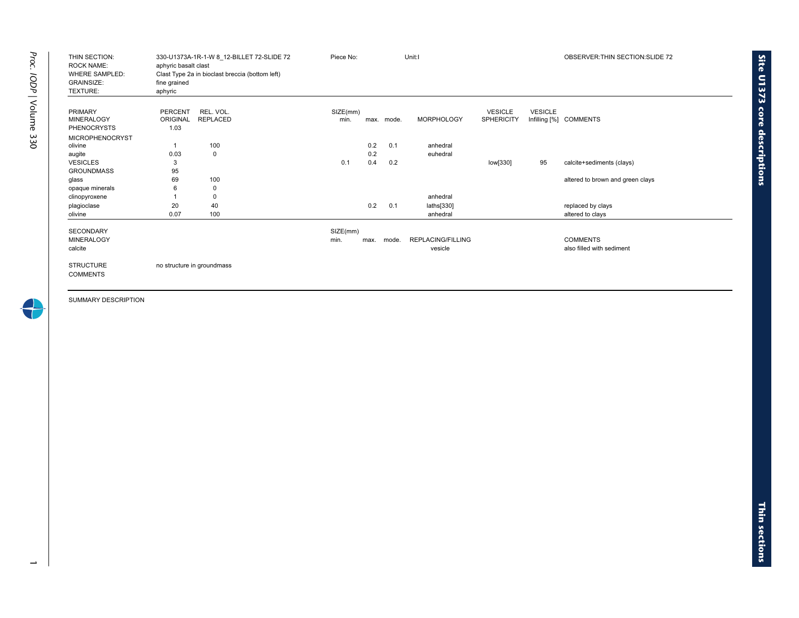| THIN SECTION:<br><b>ROCK NAME:</b><br><b>WHERE SAMPLED:</b><br><b>GRAINSIZE:</b><br>TEXTURE: | aphyric basalt clast<br>fine grained<br>aphyric | 330-U1373A-1R-1-W 8 12-BILLET 72-SLIDE 72<br>Clast Type 2a in bioclast breccia (bottom left) | Piece No:        |      |            | Unit:I                       |                                     |                                   | OBSERVER: THIN SECTION: SLIDE 72             |
|----------------------------------------------------------------------------------------------|-------------------------------------------------|----------------------------------------------------------------------------------------------|------------------|------|------------|------------------------------|-------------------------------------|-----------------------------------|----------------------------------------------|
| <b>PRIMARY</b><br><b>MINERALOGY</b><br><b>PHENOCRYSTS</b>                                    | <b>PERCENT</b><br>ORIGINAL<br>1.03              | REL. VOL.<br>REPLACED                                                                        | SIZE(mm)<br>min. |      | max. mode. | <b>MORPHOLOGY</b>            | <b>VESICLE</b><br><b>SPHERICITY</b> | <b>VESICLE</b><br>Infilling $[%]$ | COMMENTS                                     |
| <b>MICROPHENOCRYST</b><br>olivine                                                            | 1                                               | 100                                                                                          |                  | 0.2  | 0.1        | anhedral                     |                                     |                                   |                                              |
| augite                                                                                       | 0.03                                            | 0                                                                                            |                  | 0.2  |            | euhedral                     |                                     |                                   |                                              |
| <b>VESICLES</b>                                                                              | 3                                               |                                                                                              | 0.1              | 0.4  | 0.2        |                              | low[330]                            | 95                                | calcite+sediments (clays)                    |
| <b>GROUNDMASS</b>                                                                            | 95                                              |                                                                                              |                  |      |            |                              |                                     |                                   |                                              |
| glass                                                                                        | 69                                              | 100                                                                                          |                  |      |            |                              |                                     |                                   | altered to brown and green clays             |
| opaque minerals                                                                              | 6                                               | $\mathbf 0$                                                                                  |                  |      |            |                              |                                     |                                   |                                              |
| clinopyroxene                                                                                |                                                 | $\mathbf 0$                                                                                  |                  |      |            | anhedral                     |                                     |                                   |                                              |
| plagioclase                                                                                  | 20                                              | 40                                                                                           |                  | 0.2  | 0.1        | laths[330]                   |                                     |                                   | replaced by clays                            |
| olivine                                                                                      | 0.07                                            | 100                                                                                          |                  |      |            | anhedral                     |                                     |                                   | altered to clays                             |
| <b>SECONDARY</b><br><b>MINERALOGY</b><br>calcite                                             |                                                 |                                                                                              | SIZE(mm)<br>min. | max. | mode.      | REPLACING/FILLING<br>vesicle |                                     |                                   | <b>COMMENTS</b><br>also filled with sediment |
| <b>STRUCTURE</b><br><b>COMMENTS</b>                                                          |                                                 | no structure in groundmass                                                                   |                  |      |            |                              |                                     |                                   |                                              |

 $\overline{\phantom{a}}$ 

 $\overline{\phantom{0}}$ 

**Site U1373 core**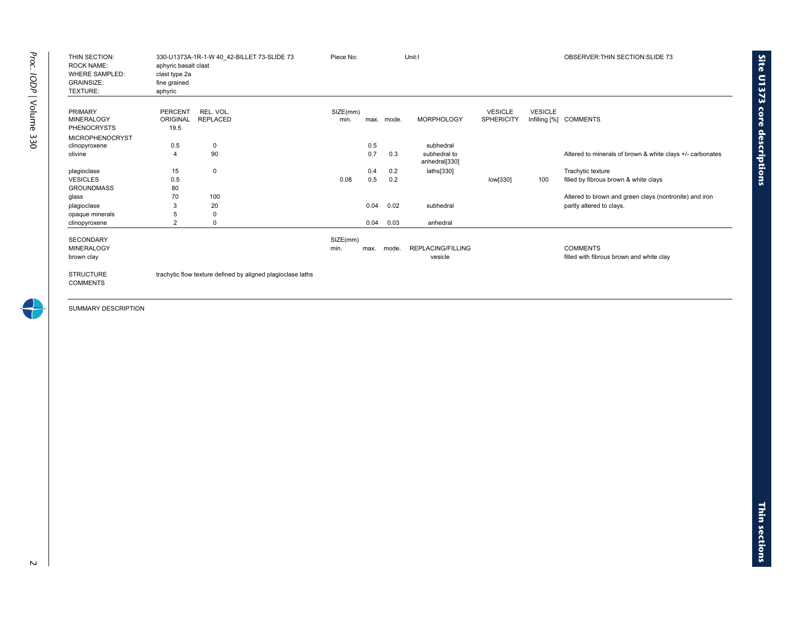| THIN SECTION:<br><b>ROCK NAME:</b><br><b>WHERE SAMPLED:</b><br><b>GRAINSIZE:</b><br>TEXTURE: | aphyric basalt clast<br>clast type 2a<br>fine grained<br>aphyric | 330-U1373A-1R-1-W 40 42-BILLET 73-SLIDE 73                  | Piece No:        |      |            | Unit:I                              |                                     |                | OBSERVER: THIN SECTION: SLIDE 73                            |
|----------------------------------------------------------------------------------------------|------------------------------------------------------------------|-------------------------------------------------------------|------------------|------|------------|-------------------------------------|-------------------------------------|----------------|-------------------------------------------------------------|
| PRIMARY<br><b>MINERALOGY</b><br><b>PHENOCRYSTS</b>                                           | PERCENT<br>ORIGINAL<br>19.5                                      | REL. VOL.<br><b>REPLACED</b>                                | SIZE(mm)<br>min. |      | max. mode. | <b>MORPHOLOGY</b>                   | <b>VESICLE</b><br><b>SPHERICITY</b> | <b>VESICLE</b> | Infilling [%] COMMENTS                                      |
| <b>MICROPHENOCRYST</b>                                                                       |                                                                  |                                                             |                  |      |            |                                     |                                     |                |                                                             |
| clinopyroxene                                                                                | 0.5                                                              | 0                                                           |                  | 0.5  |            | subhedral                           |                                     |                |                                                             |
| olivine                                                                                      | 4                                                                | 90                                                          |                  | 0.7  | 0.3        | subhedral to<br>anhedral[330]       |                                     |                | Altered to minerals of brown & white clays +/- carbonates   |
| plagioclase                                                                                  | 15                                                               | $\mathbf 0$                                                 |                  | 0.4  | 0.2        | laths[330]                          |                                     |                | Trachytic texture                                           |
| <b>VESICLES</b>                                                                              | 0.5                                                              |                                                             | 0.08             | 0.5  | 0.2        |                                     | low[330]                            | 100            | filled by fibrous brown & white clays                       |
| <b>GROUNDMASS</b>                                                                            | 80                                                               |                                                             |                  |      |            |                                     |                                     |                |                                                             |
| glass                                                                                        | 70                                                               | 100                                                         |                  |      |            |                                     |                                     |                | Altered to brown and green clays (nontronite) and iron      |
| plagioclase                                                                                  | 3                                                                | 20                                                          |                  | 0.04 | 0.02       | subhedral                           |                                     |                | partly altered to clays.                                    |
| opaque minerals                                                                              | 5                                                                | $\mathbf 0$                                                 |                  |      |            |                                     |                                     |                |                                                             |
| clinopyroxene                                                                                | $\overline{2}$                                                   | $\Omega$                                                    |                  | 0.04 | 0.03       | anhedral                            |                                     |                |                                                             |
| <b>SECONDARY</b><br><b>MINERALOGY</b><br>brown clay                                          |                                                                  |                                                             | SIZE(mm)<br>min. | max. | mode.      | <b>REPLACING/FILLING</b><br>vesicle |                                     |                | <b>COMMENTS</b><br>filled with fibrous brown and white clay |
| <b>STRUCTURE</b><br><b>COMMENTS</b>                                                          |                                                                  | trachytic flow texture defined by aligned plagioclase laths |                  |      |            |                                     |                                     |                |                                                             |

**Site U1373 core** 

**descriptions**



÷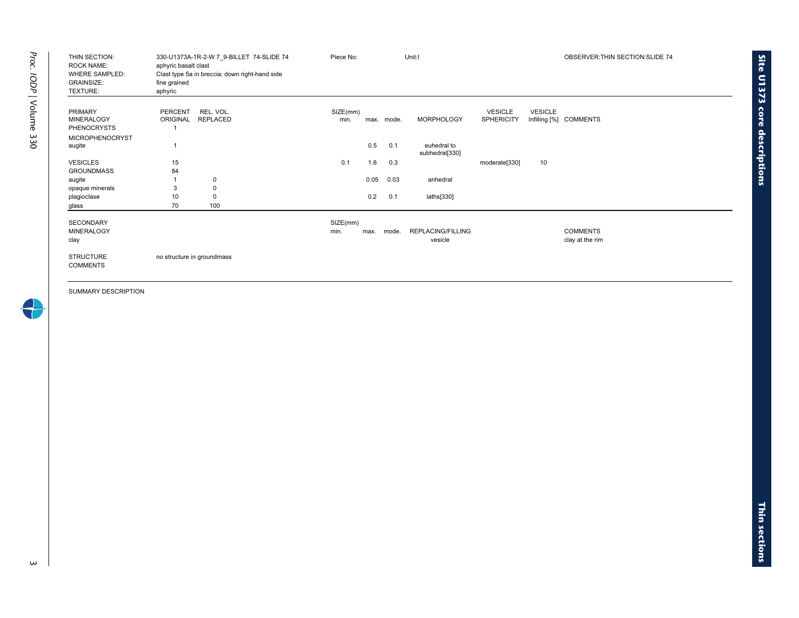| THIN SECTION:<br><b>ROCK NAME:</b><br><b>WHERE SAMPLED:</b><br><b>GRAINSIZE:</b><br>TEXTURE: | 330-U1373A-1R-2-W 7 9-BILLET 74-SLIDE 74<br>aphyric basalt clast<br>Clast type 5a in breccia; down right-hand side<br>fine grained<br>aphyric | Piece No:                |            | Unit:I                        |                                     |                | OBSERVER: THIN SECTION: SLIDE 74   |
|----------------------------------------------------------------------------------------------|-----------------------------------------------------------------------------------------------------------------------------------------------|--------------------------|------------|-------------------------------|-------------------------------------|----------------|------------------------------------|
| <b>PRIMARY</b><br><b>MINERALOGY</b><br><b>PHENOCRYSTS</b>                                    | <b>PERCENT</b><br>REL. VOL.<br>REPLACED<br>ORIGINAL                                                                                           | SIZE(mm)<br>min.         | max. mode. | <b>MORPHOLOGY</b>             | <b>VESICLE</b><br><b>SPHERICITY</b> | <b>VESICLE</b> | Infilling [%] COMMENTS             |
| <b>MICROPHENOCRYST</b><br>augite                                                             |                                                                                                                                               | 0.5                      | 0.1        | euhedral to<br>subhedral[330] |                                     |                |                                    |
| <b>VESICLES</b><br><b>GROUNDMASS</b>                                                         | 15<br>84                                                                                                                                      | 0.1<br>1.6               | 0.3        |                               | moderate[330]                       | 10             |                                    |
| augite                                                                                       | 0                                                                                                                                             | 0.05                     | 0.03       | anhedral                      |                                     |                |                                    |
| opaque minerals                                                                              | 3<br>0                                                                                                                                        |                          |            |                               |                                     |                |                                    |
| plagioclase                                                                                  | 10<br>0                                                                                                                                       | 0.2                      | 0.1        | laths[330]                    |                                     |                |                                    |
| glass                                                                                        | 70<br>100                                                                                                                                     |                          |            |                               |                                     |                |                                    |
| <b>SECONDARY</b><br><b>MINERALOGY</b><br>clay                                                |                                                                                                                                               | SIZE(mm)<br>min.<br>max. | mode.      | REPLACING/FILLING<br>vesicle  |                                     |                | <b>COMMENTS</b><br>clay at the rim |
| <b>STRUCTURE</b><br><b>COMMENTS</b>                                                          | no structure in groundmass                                                                                                                    |                          |            |                               |                                     |                |                                    |

 $\rightarrow$ 

**Site U1373 core**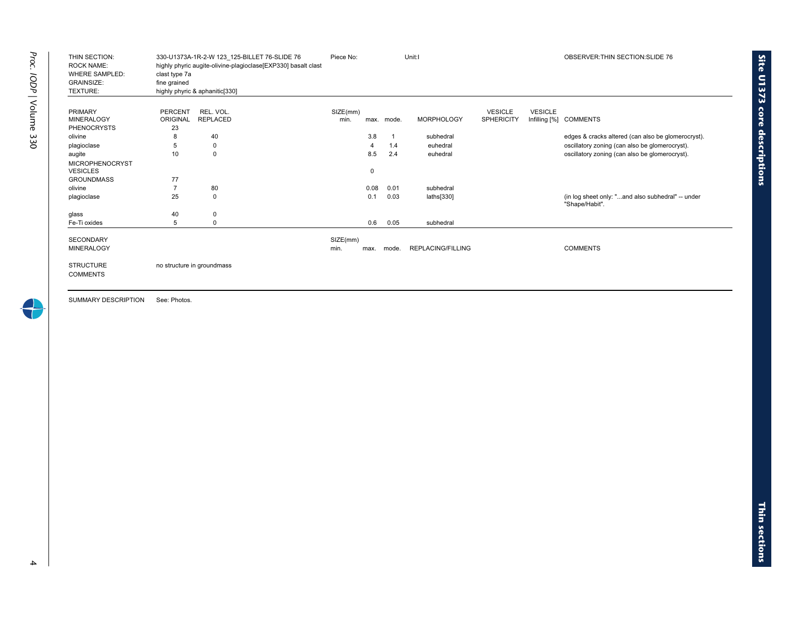| THIN SECTION:<br><b>ROCK NAME:</b><br><b>WHERE SAMPLED:</b><br><b>GRAINSIZE:</b><br>TEXTURE: | clast type 7a<br>fine grained | 330-U1373A-1R-2-W 123 125-BILLET 76-SLIDE 76<br>highly phyric augite-olivine-plagioclase[EXP330] basalt clast<br>highly phyric & aphanitic[330] | Piece No:    |              |      | Unit:I                   |                   |                | OBSERVER: THIN SECTION: SLIDE 76                                    |
|----------------------------------------------------------------------------------------------|-------------------------------|-------------------------------------------------------------------------------------------------------------------------------------------------|--------------|--------------|------|--------------------------|-------------------|----------------|---------------------------------------------------------------------|
| <b>PRIMARY</b>                                                                               | PERCENT                       | REL. VOL.                                                                                                                                       | SIZE(mm)     |              |      |                          | <b>VESICLE</b>    | <b>VESICLE</b> |                                                                     |
| <b>MINERALOGY</b>                                                                            | ORIGINAL                      | <b>REPLACED</b>                                                                                                                                 | min.         | max. mode.   |      | <b>MORPHOLOGY</b>        | <b>SPHERICITY</b> |                | Infilling [%] COMMENTS                                              |
| <b>PHENOCRYSTS</b>                                                                           | 23                            |                                                                                                                                                 |              |              |      |                          |                   |                |                                                                     |
| olivine                                                                                      | 8                             | 40                                                                                                                                              |              | 3.8          |      | subhedral                |                   |                | edges & cracks altered (can also be glomerocryst).                  |
| plagioclase                                                                                  | 5                             | 0                                                                                                                                               |              | 4            | 1.4  | euhedral                 |                   |                | oscillatory zoning (can also be glomerocryst).                      |
| augite                                                                                       | 10                            | $\mathbf 0$                                                                                                                                     |              | 8.5          | 2.4  | euhedral                 |                   |                | oscillatory zoning (can also be glomerocryst).                      |
| <b>MICROPHENOCRYST</b><br><b>VESICLES</b>                                                    |                               |                                                                                                                                                 |              | 0            |      |                          |                   |                |                                                                     |
| <b>GROUNDMASS</b>                                                                            | 77                            |                                                                                                                                                 |              |              |      |                          |                   |                |                                                                     |
| olivine                                                                                      | $\overline{7}$                | 80                                                                                                                                              |              | 0.08<br>0.01 |      | subhedral                |                   |                |                                                                     |
| plagioclase                                                                                  | 25                            | $\mathbf 0$                                                                                                                                     |              | 0.1          | 0.03 | laths[330]               |                   |                | (in log sheet only: "and also subhedral" -- under<br>"Shape/Habit". |
| glass                                                                                        | 40                            | $\mathbf 0$                                                                                                                                     |              |              |      |                          |                   |                |                                                                     |
| Fe-Ti oxides                                                                                 | 5                             | 0                                                                                                                                               |              | 0.6          | 0.05 | subhedral                |                   |                |                                                                     |
| <b>SECONDARY</b>                                                                             |                               |                                                                                                                                                 | SIZE(mm)     |              |      |                          |                   |                |                                                                     |
| <b>MINERALOGY</b>                                                                            |                               |                                                                                                                                                 | min.<br>max. | mode.        |      | <b>REPLACING/FILLING</b> |                   |                | <b>COMMENTS</b>                                                     |
| <b>STRUCTURE</b><br><b>COMMENTS</b>                                                          |                               | no structure in groundmass                                                                                                                      |              |              |      |                          |                   |                |                                                                     |

SUMMARY DESCRIPTION See: Photos.

 $\begin{array}{c} \textbf{I} \ \textbf{I} \end{array}$ 

**Site U1373 core**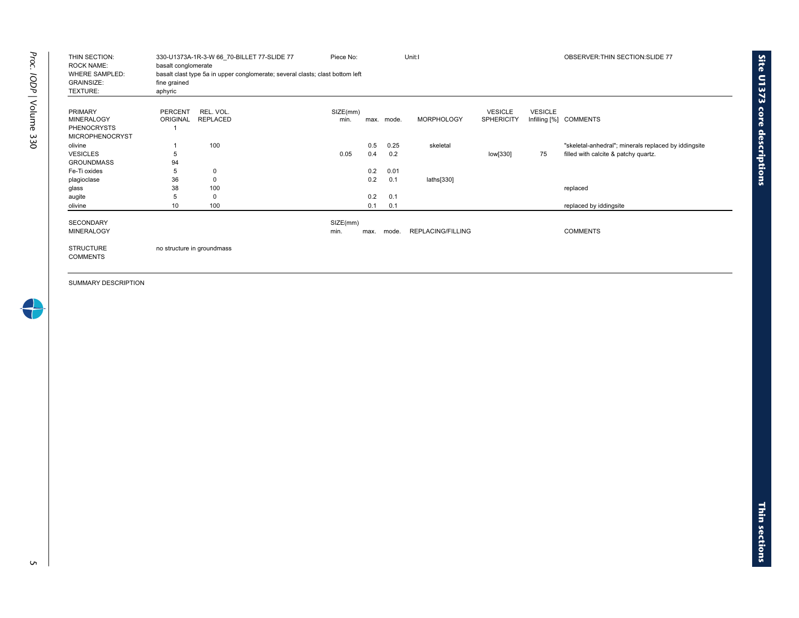| THIN SECTION:<br><b>ROCK NAME:</b><br><b>WHERE SAMPLED:</b><br><b>GRAINSIZE:</b><br>TEXTURE: | basalt conglomerate<br>fine grained<br>aphyric | 330-U1373A-1R-3-W 66 70-BILLET 77-SLIDE 77<br>basalt clast type 5a in upper conglomerate; several clasts; clast bottom left | Piece No:        |      |            | Unit:I            |                                     |                | OBSERVER: THIN SECTION: SLIDE 77                     |
|----------------------------------------------------------------------------------------------|------------------------------------------------|-----------------------------------------------------------------------------------------------------------------------------|------------------|------|------------|-------------------|-------------------------------------|----------------|------------------------------------------------------|
| <b>PRIMARY</b><br><b>MINERALOGY</b><br><b>PHENOCRYSTS</b><br><b>MICROPHENOCRYST</b>          | PERCENT<br>ORIGINAL                            | REL. VOL.<br><b>REPLACED</b>                                                                                                | SIZE(mm)<br>min. |      | max. mode. | <b>MORPHOLOGY</b> | <b>VESICLE</b><br><b>SPHERICITY</b> | <b>VESICLE</b> | Infilling [%] COMMENTS                               |
| olivine                                                                                      |                                                | 100                                                                                                                         |                  | 0.5  | 0.25       | skeletal          |                                     |                | "skeletal-anhedral"; minerals replaced by iddingsite |
| <b>VESICLES</b>                                                                              | 5                                              |                                                                                                                             | 0.05             | 0.4  | 0.2        |                   | low[330]                            | 75             | filled with calcite & patchy quartz.                 |
| <b>GROUNDMASS</b>                                                                            | 94                                             |                                                                                                                             |                  |      |            |                   |                                     |                |                                                      |
| Fe-Ti oxides                                                                                 | 5                                              | $\Omega$                                                                                                                    |                  | 0.2  | 0.01       |                   |                                     |                |                                                      |
| plagioclase                                                                                  | 36                                             | $\Omega$                                                                                                                    |                  | 0.2  | 0.1        | laths[330]        |                                     |                |                                                      |
| glass                                                                                        | 38                                             | 100                                                                                                                         |                  |      |            |                   |                                     |                | replaced                                             |
| augite                                                                                       | 5                                              | $\Omega$                                                                                                                    |                  | 0.2  | 0.1        |                   |                                     |                |                                                      |
| olivine                                                                                      | 10                                             | 100                                                                                                                         |                  | 0.1  | 0.1        |                   |                                     |                | replaced by iddingsite                               |
| <b>SECONDARY</b>                                                                             |                                                |                                                                                                                             | SIZE(mm)         |      |            |                   |                                     |                |                                                      |
| <b>MINERALOGY</b>                                                                            |                                                |                                                                                                                             | min.             | max. | mode.      | REPLACING/FILLING |                                     |                | <b>COMMENTS</b>                                      |
| <b>STRUCTURE</b><br><b>COMMENTS</b>                                                          |                                                | no structure in groundmass                                                                                                  |                  |      |            |                   |                                     |                |                                                      |

*Proc. IODP* | Volume 330

4

**Site U1373 core**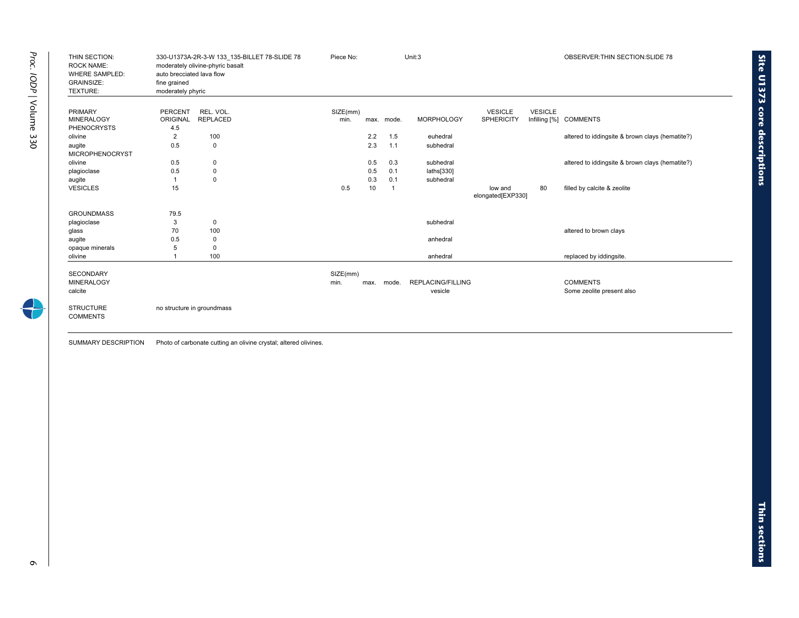| THIN SECTION:<br><b>ROCK NAME:</b><br><b>WHERE SAMPLED:</b><br><b>GRAINSIZE:</b><br>TEXTURE: | auto brecciated lava flow<br>fine grained<br>moderately phyric | 330-U1373A-2R-3-W 133 135-BILLET 78-SLIDE 78<br>moderately olivine-phyric basalt | Piece No:        |      |                | Unit:3                   |                                     |                | OBSERVER: THIN SECTION: SLIDE 78                |
|----------------------------------------------------------------------------------------------|----------------------------------------------------------------|----------------------------------------------------------------------------------|------------------|------|----------------|--------------------------|-------------------------------------|----------------|-------------------------------------------------|
| <b>PRIMARY</b><br><b>MINERALOGY</b>                                                          | <b>PERCENT</b><br>ORIGINAL                                     | REL. VOL.<br><b>REPLACED</b>                                                     | SIZE(mm)<br>min. |      | max. mode.     | <b>MORPHOLOGY</b>        | <b>VESICLE</b><br><b>SPHERICITY</b> | <b>VESICLE</b> | Infilling [%] COMMENTS                          |
| <b>PHENOCRYSTS</b>                                                                           | 4.5                                                            |                                                                                  |                  |      |                |                          |                                     |                |                                                 |
| olivine                                                                                      | 2                                                              | 100                                                                              |                  | 2.2  | 1.5            | euhedral                 |                                     |                | altered to iddingsite & brown clays (hematite?) |
| augite<br><b>MICROPHENOCRYST</b>                                                             | 0.5                                                            | $\mathbf 0$                                                                      |                  | 2.3  | 1.1            | subhedral                |                                     |                |                                                 |
| olivine                                                                                      | 0.5                                                            | 0                                                                                |                  | 0.5  | 0.3            | subhedral                |                                     |                | altered to iddingsite & brown clays (hematite?) |
| plagioclase                                                                                  | 0.5                                                            | 0                                                                                |                  | 0.5  | 0.1            | laths[330]               |                                     |                |                                                 |
| augite                                                                                       |                                                                | $\mathbf 0$                                                                      |                  | 0.3  | 0.1            | subhedral                |                                     |                |                                                 |
| <b>VESICLES</b>                                                                              | 15                                                             |                                                                                  | 0.5              | 10   | $\overline{1}$ |                          | low and<br>elongated[EXP330]        | 80             | filled by calcite & zeolite                     |
| <b>GROUNDMASS</b>                                                                            | 79.5                                                           |                                                                                  |                  |      |                |                          |                                     |                |                                                 |
| plagioclase                                                                                  | 3                                                              | 0                                                                                |                  |      |                | subhedral                |                                     |                |                                                 |
| glass                                                                                        | 70                                                             | 100                                                                              |                  |      |                |                          |                                     |                | altered to brown clays                          |
| augite                                                                                       | 0.5                                                            | 0                                                                                |                  |      |                | anhedral                 |                                     |                |                                                 |
| opaque minerals                                                                              | 5                                                              | $\Omega$                                                                         |                  |      |                |                          |                                     |                |                                                 |
| olivine                                                                                      |                                                                | 100                                                                              |                  |      |                | anhedral                 |                                     |                | replaced by iddingsite.                         |
| <b>SECONDARY</b>                                                                             |                                                                |                                                                                  | SIZE(mm)         |      |                |                          |                                     |                |                                                 |
| <b>MINERALOGY</b>                                                                            |                                                                |                                                                                  | min.             | max. | mode.          | <b>REPLACING/FILLING</b> |                                     |                | <b>COMMENTS</b>                                 |
| calcite                                                                                      |                                                                |                                                                                  |                  |      |                | vesicle                  |                                     |                | Some zeolite present also                       |
| <b>STRUCTURE</b><br><b>COMMENTS</b>                                                          |                                                                | no structure in groundmass                                                       |                  |      |                |                          |                                     |                |                                                 |

SUMMARY DESCRIPTION Photo of carbonate cutting an olivine crystal; altered olivines.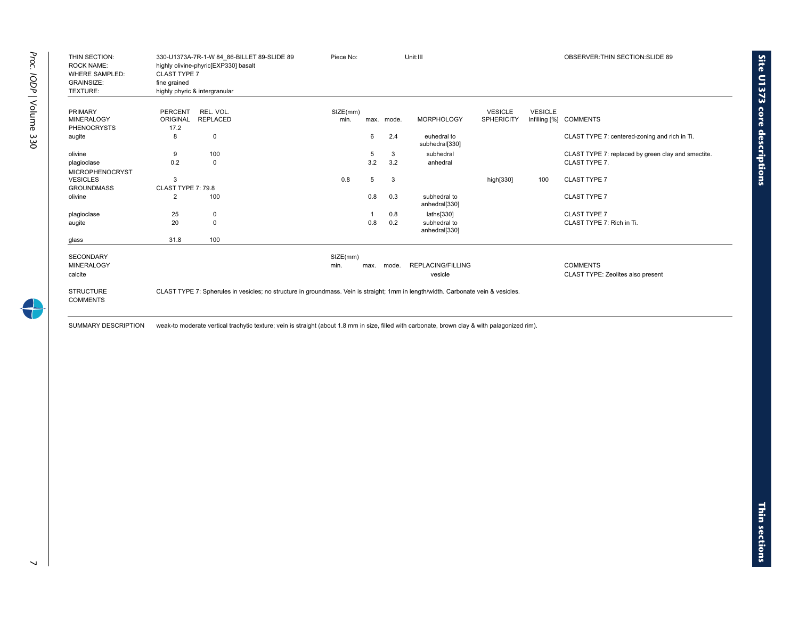| THIN SECTION:<br><b>ROCK NAME:</b><br><b>WHERE SAMPLED:</b><br><b>GRAINSIZE:</b><br>TEXTURE: | <b>CLAST TYPE 7</b><br>fine grained | 330-U1373A-7R-1-W 84 86-BILLET 89-SLIDE 89<br>highly olivine-phyric[EXP330] basalt<br>highly phyric & intergranular                | Piece No: |      |            | Unit:III                      |                   |                | OBSERVER: THIN SECTION: SLIDE 89                   |
|----------------------------------------------------------------------------------------------|-------------------------------------|------------------------------------------------------------------------------------------------------------------------------------|-----------|------|------------|-------------------------------|-------------------|----------------|----------------------------------------------------|
|                                                                                              |                                     |                                                                                                                                    |           |      |            |                               |                   |                |                                                    |
| PRIMARY                                                                                      | <b>PERCENT</b>                      | REL. VOL.                                                                                                                          | SIZE(mm)  |      |            |                               | <b>VESICLE</b>    | <b>VESICLE</b> |                                                    |
| <b>MINERALOGY</b>                                                                            | <b>ORIGINAL</b>                     | <b>REPLACED</b>                                                                                                                    | min.      |      | max. mode. | <b>MORPHOLOGY</b>             | <b>SPHERICITY</b> |                | Infilling [%] COMMENTS                             |
| <b>PHENOCRYSTS</b>                                                                           | 17.2                                |                                                                                                                                    |           |      |            |                               |                   |                |                                                    |
| augite                                                                                       | 8                                   | 0                                                                                                                                  |           | 6    | 2.4        | euhedral to<br>subhedral[330] |                   |                | CLAST TYPE 7: centered-zoning and rich in Ti.      |
| olivine                                                                                      | 9                                   | 100                                                                                                                                |           | 5    | 3          | subhedral                     |                   |                | CLAST TYPE 7: replaced by green clay and smectite. |
| plagioclase                                                                                  | 0.2                                 | $\mathbf 0$                                                                                                                        |           | 3.2  | 3.2        | anhedral                      |                   |                | <b>CLAST TYPE 7.</b>                               |
| <b>MICROPHENOCRYST</b>                                                                       |                                     |                                                                                                                                    |           |      |            |                               |                   |                |                                                    |
| <b>VESICLES</b>                                                                              | 3                                   |                                                                                                                                    | 0.8       | 5    | 3          |                               | high[330]         | 100            | <b>CLAST TYPE 7</b>                                |
| <b>GROUNDMASS</b>                                                                            | CLAST TYPE 7: 79.8                  |                                                                                                                                    |           |      |            |                               |                   |                |                                                    |
| olivine                                                                                      | $\overline{2}$                      | 100                                                                                                                                |           | 0.8  | 0.3        | subhedral to                  |                   |                | <b>CLAST TYPE 7</b>                                |
|                                                                                              |                                     |                                                                                                                                    |           |      |            | anhedral[330]                 |                   |                |                                                    |
| plagioclase                                                                                  | 25                                  | 0                                                                                                                                  |           | 1    | 0.8        | laths[330]                    |                   |                | <b>CLAST TYPE 7</b>                                |
| augite                                                                                       | 20                                  | $\mathbf 0$                                                                                                                        |           | 0.8  | 0.2        | subhedral to                  |                   |                | CLAST TYPE 7: Rich in Ti.                          |
|                                                                                              |                                     |                                                                                                                                    |           |      |            | anhedral[330]                 |                   |                |                                                    |
| glass                                                                                        | 31.8                                | 100                                                                                                                                |           |      |            |                               |                   |                |                                                    |
|                                                                                              |                                     |                                                                                                                                    |           |      |            |                               |                   |                |                                                    |
| <b>SECONDARY</b>                                                                             |                                     |                                                                                                                                    | SIZE(mm)  |      |            |                               |                   |                |                                                    |
| <b>MINERALOGY</b>                                                                            |                                     |                                                                                                                                    | min.      | max. | mode.      | <b>REPLACING/FILLING</b>      |                   |                | <b>COMMENTS</b>                                    |
| calcite                                                                                      |                                     |                                                                                                                                    |           |      |            | vesicle                       |                   |                | CLAST TYPE: Zeolites also present                  |
| <b>STRUCTURE</b><br><b>COMMENTS</b>                                                          |                                     | CLAST TYPE 7: Spherules in vesicles; no structure in groundmass. Vein is straight; 1mm in length/width. Carbonate vein & vesicles. |           |      |            |                               |                   |                |                                                    |

SUMMARY DESCRIPTION weak-to moderate vertical trachytic texture; vein is straight (about 1.8 mm in size, filled with carbonate, brown clay & with palagonized rim).

**Site U1373 core**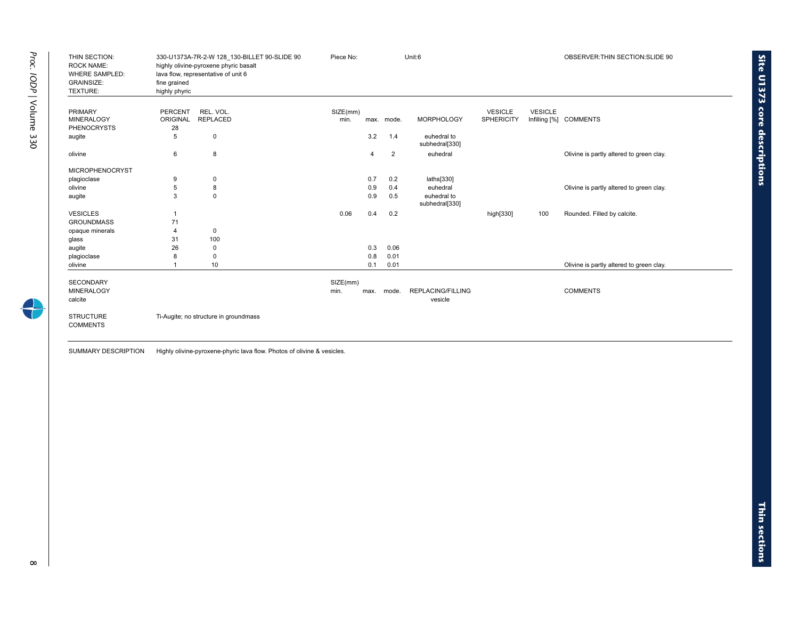| THIN SECTION:<br><b>ROCK NAME:</b><br><b>WHERE SAMPLED:</b><br><b>GRAINSIZE:</b><br>TEXTURE: | fine grained<br>highly phyric | 330-U1373A-7R-2-W 128 130-BILLET 90-SLIDE 90<br>highly olivine-pyroxene phyric basalt<br>lava flow, representative of unit 6 | Piece No: |      |            | Unit:6                        |                   |                | OBSERVER: THIN SECTION: SLIDE 90         |
|----------------------------------------------------------------------------------------------|-------------------------------|------------------------------------------------------------------------------------------------------------------------------|-----------|------|------------|-------------------------------|-------------------|----------------|------------------------------------------|
| <b>PRIMARY</b>                                                                               | <b>PERCENT</b>                | REL. VOL.                                                                                                                    | SIZE(mm)  |      |            |                               | <b>VESICLE</b>    | <b>VESICLE</b> |                                          |
| <b>MINERALOGY</b>                                                                            | <b>ORIGINAL</b>               | <b>REPLACED</b>                                                                                                              | min.      |      | max. mode. | <b>MORPHOLOGY</b>             | <b>SPHERICITY</b> |                | Infilling [%] COMMENTS                   |
| <b>PHENOCRYSTS</b><br>augite                                                                 | 28<br>5                       | 0                                                                                                                            |           | 3.2  | 1.4        | euhedral to                   |                   |                |                                          |
|                                                                                              |                               |                                                                                                                              |           |      |            | subhedral[330]                |                   |                |                                          |
| olivine                                                                                      | 6                             | 8                                                                                                                            |           | 4    | 2          | euhedral                      |                   |                | Olivine is partly altered to green clay. |
| <b>MICROPHENOCRYST</b>                                                                       |                               |                                                                                                                              |           |      |            |                               |                   |                |                                          |
| plagioclase                                                                                  | 9                             | 0                                                                                                                            |           | 0.7  | 0.2        | laths[330]                    |                   |                |                                          |
| olivine                                                                                      | 5                             | 8                                                                                                                            |           | 0.9  | 0.4        | euhedral                      |                   |                | Olivine is partly altered to green clay. |
| augite                                                                                       | 3                             | $\mathbf 0$                                                                                                                  |           | 0.9  | 0.5        | euhedral to<br>subhedral[330] |                   |                |                                          |
| <b>VESICLES</b>                                                                              |                               |                                                                                                                              | 0.06      | 0.4  | 0.2        |                               | high[330]         | 100            | Rounded. Filled by calcite.              |
| <b>GROUNDMASS</b>                                                                            | 71                            |                                                                                                                              |           |      |            |                               |                   |                |                                          |
| opaque minerals                                                                              | 4                             | $\mathbf 0$                                                                                                                  |           |      |            |                               |                   |                |                                          |
| glass                                                                                        | 31                            | 100                                                                                                                          |           |      |            |                               |                   |                |                                          |
| augite                                                                                       | 26                            | 0                                                                                                                            |           | 0.3  | 0.06       |                               |                   |                |                                          |
| plagioclase                                                                                  | 8                             | 0                                                                                                                            |           | 0.8  | 0.01       |                               |                   |                |                                          |
| olivine                                                                                      |                               | 10                                                                                                                           |           | 0.1  | 0.01       |                               |                   |                | Olivine is partly altered to green clay. |
| <b>SECONDARY</b>                                                                             |                               |                                                                                                                              | SIZE(mm)  |      |            |                               |                   |                |                                          |
| <b>MINERALOGY</b>                                                                            |                               |                                                                                                                              | min.      | max. | mode.      | <b>REPLACING/FILLING</b>      |                   |                | <b>COMMENTS</b>                          |
| calcite                                                                                      |                               |                                                                                                                              |           |      |            | vesicle                       |                   |                |                                          |
| <b>STRUCTURE</b><br><b>COMMENTS</b>                                                          |                               | Ti-Augite; no structure in groundmass                                                                                        |           |      |            |                               |                   |                |                                          |

SUMMARY DESCRIPTION Highly olivine-pyroxene-phyric lava flow. Photos of olivine & vesicles.

**Site U1373 core**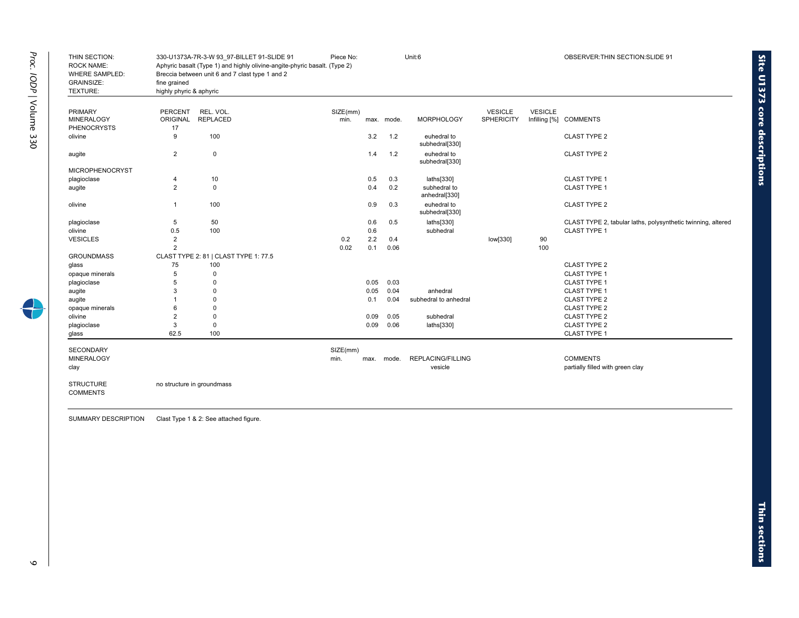| THIN SECTION:<br><b>ROCK NAME:</b><br><b>WHERE SAMPLED:</b><br><b>GRAINSIZE:</b><br>TEXTURE: | fine grained<br>highly phyric & aphyric | 330-U1373A-7R-3-W 93 97-BILLET 91-SLIDE 91<br>Aphyric basalt (Type 1) and highly olivine-angite-phyric basalt. (Type 2)<br>Breccia between unit 6 and 7 clast type 1 and 2 | Piece No:        |      |            | Unit:6                        |                                     |                | OBSERVER: THIN SECTION: SLIDE 91                             |
|----------------------------------------------------------------------------------------------|-----------------------------------------|----------------------------------------------------------------------------------------------------------------------------------------------------------------------------|------------------|------|------------|-------------------------------|-------------------------------------|----------------|--------------------------------------------------------------|
|                                                                                              |                                         |                                                                                                                                                                            |                  |      |            |                               |                                     |                |                                                              |
| PRIMARY<br><b>MINERALOGY</b>                                                                 | PERCENT<br>ORIGINAL                     | REL. VOL.<br><b>REPLACED</b>                                                                                                                                               | SIZE(mm)<br>min. |      | max. mode. | <b>MORPHOLOGY</b>             | <b>VESICLE</b><br><b>SPHERICITY</b> | <b>VESICLE</b> | Infilling [%] COMMENTS                                       |
| <b>PHENOCRYSTS</b><br>olivine                                                                | 17<br>9                                 | 100                                                                                                                                                                        |                  | 3.2  | 1.2        | euhedral to<br>subhedral[330] |                                     |                | <b>CLAST TYPE 2</b>                                          |
| augite                                                                                       | 2                                       | $\mathsf 0$                                                                                                                                                                |                  | 1.4  | 1.2        | euhedral to<br>subhedral[330] |                                     |                | <b>CLAST TYPE 2</b>                                          |
| <b>MICROPHENOCRYST</b>                                                                       |                                         |                                                                                                                                                                            |                  |      |            |                               |                                     |                |                                                              |
| plagioclase                                                                                  | 4                                       | 10                                                                                                                                                                         |                  | 0.5  | 0.3        | laths[330]                    |                                     |                | <b>CLAST TYPE 1</b>                                          |
| augite                                                                                       | 2                                       | $\Omega$                                                                                                                                                                   |                  | 0.4  | 0.2        | subhedral to<br>anhedral[330] |                                     |                | <b>CLAST TYPE 1</b>                                          |
| olivine                                                                                      | $\mathbf{1}$                            | 100                                                                                                                                                                        |                  | 0.9  | 0.3        | euhedral to<br>subhedral[330] |                                     |                | <b>CLAST TYPE 2</b>                                          |
| plagioclase                                                                                  | 5                                       | 50                                                                                                                                                                         |                  | 0.6  | 0.5        | laths[330]                    |                                     |                | CLAST TYPE 2, tabular laths, polysynthetic twinning, altered |
| olivine                                                                                      | 0.5                                     | 100                                                                                                                                                                        |                  | 0.6  |            | subhedral                     |                                     |                | <b>CLAST TYPE 1</b>                                          |
| <b>VESICLES</b>                                                                              | $\overline{2}$                          |                                                                                                                                                                            | 0.2              | 2.2  | 0.4        |                               | low[330]                            | 90             |                                                              |
|                                                                                              | 2                                       |                                                                                                                                                                            | 0.02             | 0.1  | 0.06       |                               |                                     | 100            |                                                              |
| <b>GROUNDMASS</b>                                                                            |                                         | CLAST TYPE 2: 81   CLAST TYPE 1: 77.5                                                                                                                                      |                  |      |            |                               |                                     |                |                                                              |
| glass                                                                                        | 75                                      | 100                                                                                                                                                                        |                  |      |            |                               |                                     |                | <b>CLAST TYPE 2</b>                                          |
| opaque minerals                                                                              | 5                                       | $\Omega$                                                                                                                                                                   |                  |      |            |                               |                                     |                | <b>CLAST TYPE 1</b>                                          |
| plagioclase                                                                                  | 5                                       | $\Omega$                                                                                                                                                                   |                  | 0.05 | 0.03       |                               |                                     |                | <b>CLAST TYPE 1</b>                                          |
| augite                                                                                       | 3                                       | $\Omega$                                                                                                                                                                   |                  | 0.05 | 0.04       | anhedral                      |                                     |                | <b>CLAST TYPE 1</b>                                          |
| augite                                                                                       | $\overline{1}$                          | $\Omega$                                                                                                                                                                   |                  | 0.1  | 0.04       | subhedral to anhedral         |                                     |                | <b>CLAST TYPE 2</b>                                          |
| opaque minerals                                                                              | 6                                       | $\Omega$                                                                                                                                                                   |                  |      |            |                               |                                     |                | <b>CLAST TYPE 2</b>                                          |
| olivine                                                                                      | $\overline{2}$                          | $\Omega$                                                                                                                                                                   |                  | 0.09 | 0.05       | subhedral                     |                                     |                | <b>CLAST TYPE 2</b>                                          |
| plagioclase                                                                                  | 3                                       | $\mathbf 0$                                                                                                                                                                |                  | 0.09 | 0.06       | laths[330]                    |                                     |                | <b>CLAST TYPE 2</b>                                          |
| glass                                                                                        | 62.5                                    | 100                                                                                                                                                                        |                  |      |            |                               |                                     |                | <b>CLAST TYPE 1</b>                                          |
| <b>SECONDARY</b>                                                                             |                                         |                                                                                                                                                                            | SIZE(mm)         |      |            |                               |                                     |                |                                                              |
| <b>MINERALOGY</b>                                                                            |                                         |                                                                                                                                                                            | min.             | max. | mode.      | REPLACING/FILLING             |                                     |                | <b>COMMENTS</b>                                              |
| clay                                                                                         |                                         |                                                                                                                                                                            |                  |      |            | vesicle                       |                                     |                | partially filled with green clay                             |
| <b>STRUCTURE</b><br><b>COMMENTS</b>                                                          |                                         | no structure in groundmass                                                                                                                                                 |                  |      |            |                               |                                     |                |                                                              |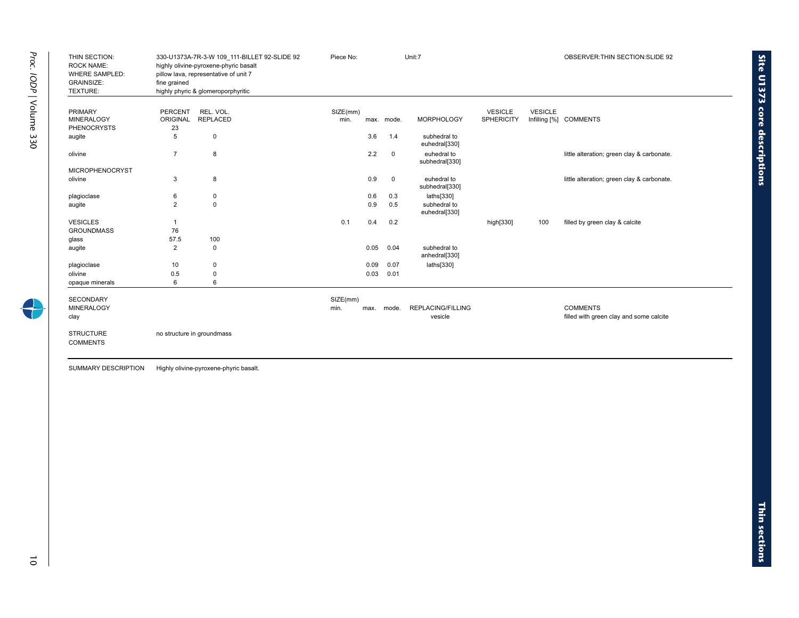| THIN SECTION:<br><b>ROCK NAME:</b><br><b>WHERE SAMPLED:</b><br><b>GRAINSIZE:</b><br>TEXTURE: | fine grained               | 330-U1373A-7R-3-W 109 111-BILLET 92-SLIDE 92<br>highly olivine-pyroxene-phyric basalt<br>pillow lava, representative of unit 7<br>highly phyric & glomeroporphyritic | Piece No: |      | Unit:7      |                               |                   |                | OBSERVER: THIN SECTION: SLIDE 92           |
|----------------------------------------------------------------------------------------------|----------------------------|----------------------------------------------------------------------------------------------------------------------------------------------------------------------|-----------|------|-------------|-------------------------------|-------------------|----------------|--------------------------------------------|
| <b>PRIMARY</b>                                                                               | <b>PERCENT</b>             | REL. VOL.                                                                                                                                                            | SIZE(mm)  |      |             |                               | <b>VESICLE</b>    | <b>VESICLE</b> |                                            |
| <b>MINERALOGY</b>                                                                            | <b>ORIGINAL</b>            | <b>REPLACED</b>                                                                                                                                                      | min.      |      | max. mode.  | <b>MORPHOLOGY</b>             | <b>SPHERICITY</b> |                | Infilling [%] COMMENTS                     |
| <b>PHENOCRYSTS</b>                                                                           | 23                         |                                                                                                                                                                      |           |      |             |                               |                   |                |                                            |
| augite                                                                                       | 5                          | $\pmb{0}$                                                                                                                                                            |           | 3.6  | 1.4         | subhedral to<br>euhedral[330] |                   |                |                                            |
| olivine                                                                                      | $\overline{7}$             | 8                                                                                                                                                                    |           | 2.2  | $\mathbf 0$ | euhedral to<br>subhedral[330] |                   |                | little alteration; green clay & carbonate. |
| <b>MICROPHENOCRYST</b>                                                                       |                            |                                                                                                                                                                      |           |      |             |                               |                   |                |                                            |
| olivine                                                                                      | 3                          | 8                                                                                                                                                                    |           | 0.9  | 0           | euhedral to<br>subhedral[330] |                   |                | little alteration; green clay & carbonate. |
| plagioclase                                                                                  | 6                          | 0                                                                                                                                                                    |           | 0.6  | 0.3         | laths[330]                    |                   |                |                                            |
| augite                                                                                       | 2                          | $\mathbf 0$                                                                                                                                                          |           | 0.9  | 0.5         | subhedral to<br>euhedral[330] |                   |                |                                            |
| <b>VESICLES</b>                                                                              | $\mathbf{1}$               |                                                                                                                                                                      | 0.1       | 0.4  | 0.2         |                               | high[330]         | 100            | filled by green clay & calcite             |
| <b>GROUNDMASS</b>                                                                            | 76                         |                                                                                                                                                                      |           |      |             |                               |                   |                |                                            |
| glass                                                                                        | 57.5                       | 100                                                                                                                                                                  |           |      |             |                               |                   |                |                                            |
| augite                                                                                       | $\overline{2}$             | $\mathbf 0$                                                                                                                                                          |           | 0.05 | 0.04        | subhedral to<br>anhedral[330] |                   |                |                                            |
| plagioclase                                                                                  | 10                         | $\mathbf 0$                                                                                                                                                          |           | 0.09 | 0.07        | laths[330]                    |                   |                |                                            |
| olivine                                                                                      | 0.5                        | $\pmb{0}$                                                                                                                                                            |           | 0.03 | 0.01        |                               |                   |                |                                            |
| opaque minerals                                                                              | 6                          | 6                                                                                                                                                                    |           |      |             |                               |                   |                |                                            |
| <b>SECONDARY</b>                                                                             |                            |                                                                                                                                                                      | SIZE(mm)  |      |             |                               |                   |                |                                            |
| <b>MINERALOGY</b>                                                                            |                            |                                                                                                                                                                      | min.      | max. | mode.       | REPLACING/FILLING             |                   |                | <b>COMMENTS</b>                            |
| clay                                                                                         |                            |                                                                                                                                                                      |           |      |             | vesicle                       |                   |                | filled with green clay and some calcite    |
| <b>STRUCTURE</b>                                                                             | no structure in groundmass |                                                                                                                                                                      |           |      |             |                               |                   |                |                                            |
| <b>COMMENTS</b>                                                                              |                            |                                                                                                                                                                      |           |      |             |                               |                   |                |                                            |
| SUMMARY DESCRIPTION                                                                          |                            | Highly olivine-pyroxene-phyric basalt.                                                                                                                               |           |      |             |                               |                   |                |                                            |

 $\overrightarrow{0}$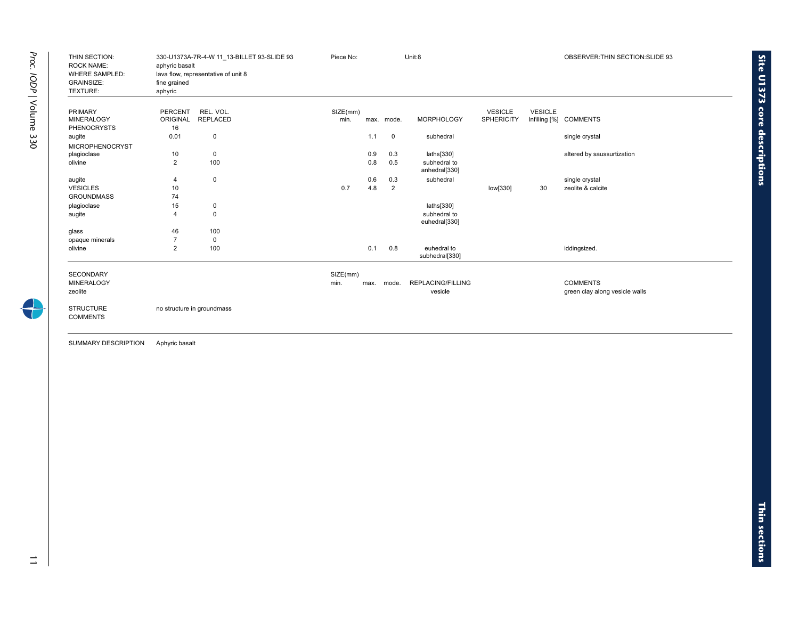| THIN SECTION:<br><b>ROCK NAME:</b><br><b>WHERE SAMPLED:</b><br><b>GRAINSIZE:</b><br>TEXTURE: | aphyric basalt<br>fine grained<br>aphyric | 330-U1373A-7R-4-W 11 13-BILLET 93-SLIDE 93<br>lava flow, representative of unit 8 | Piece No:        |      |                | Unit:8                              |                                     |                | OBSERVER: THIN SECTION: SLIDE 93                  |
|----------------------------------------------------------------------------------------------|-------------------------------------------|-----------------------------------------------------------------------------------|------------------|------|----------------|-------------------------------------|-------------------------------------|----------------|---------------------------------------------------|
| <b>PRIMARY</b><br><b>MINERALOGY</b>                                                          | PERCENT<br>ORIGINAL                       | REL. VOL.<br><b>REPLACED</b>                                                      | SIZE(mm)<br>min. |      | max. mode.     | <b>MORPHOLOGY</b>                   | <b>VESICLE</b><br><b>SPHERICITY</b> | <b>VESICLE</b> | Infilling [%] COMMENTS                            |
| <b>PHENOCRYSTS</b><br>augite                                                                 | 16<br>0.01                                | $\mathbf 0$                                                                       |                  | 1.1  | $\overline{0}$ | subhedral                           |                                     |                | single crystal                                    |
| <b>MICROPHENOCRYST</b>                                                                       |                                           |                                                                                   |                  |      |                |                                     |                                     |                |                                                   |
| plagioclase                                                                                  | 10                                        | 0                                                                                 |                  | 0.9  | 0.3            | laths[330]                          |                                     |                | altered by saussurtization                        |
| olivine                                                                                      | $\overline{2}$                            | 100                                                                               |                  | 0.8  | 0.5            | subhedral to<br>anhedral[330]       |                                     |                |                                                   |
| augite                                                                                       | $\overline{4}$                            | $\mathbf 0$                                                                       |                  | 0.6  | 0.3            | subhedral                           |                                     |                | single crystal                                    |
| <b>VESICLES</b>                                                                              | 10                                        |                                                                                   | 0.7              | 4.8  | 2              |                                     | low[330]                            | 30             | zeolite & calcite                                 |
| <b>GROUNDMASS</b>                                                                            | 74                                        |                                                                                   |                  |      |                |                                     |                                     |                |                                                   |
| plagioclase                                                                                  | 15                                        | 0                                                                                 |                  |      |                | laths[330]                          |                                     |                |                                                   |
| augite                                                                                       | $\overline{4}$                            | $\mathbf 0$                                                                       |                  |      |                | subhedral to<br>euhedral[330]       |                                     |                |                                                   |
| glass                                                                                        | 46                                        | 100                                                                               |                  |      |                |                                     |                                     |                |                                                   |
| opaque minerals                                                                              | $\overline{7}$                            | $\mathbf 0$                                                                       |                  |      |                |                                     |                                     |                |                                                   |
| olivine                                                                                      | $\overline{2}$                            | 100                                                                               |                  | 0.1  | 0.8            | euhedral to<br>subhedral[330]       |                                     |                | iddingsized.                                      |
| <b>SECONDARY</b><br><b>MINERALOGY</b><br>zeolite                                             |                                           |                                                                                   | SIZE(mm)<br>min. | max. | mode.          | <b>REPLACING/FILLING</b><br>vesicle |                                     |                | <b>COMMENTS</b><br>green clay along vesicle walls |
| <b>STRUCTURE</b><br><b>COMMENTS</b>                                                          | no structure in groundmass                |                                                                                   |                  |      |                |                                     |                                     |                |                                                   |

SUMMARY DESCRIPTION Aphyric basalt

 $\rightarrow$ 

**Site U1373 core**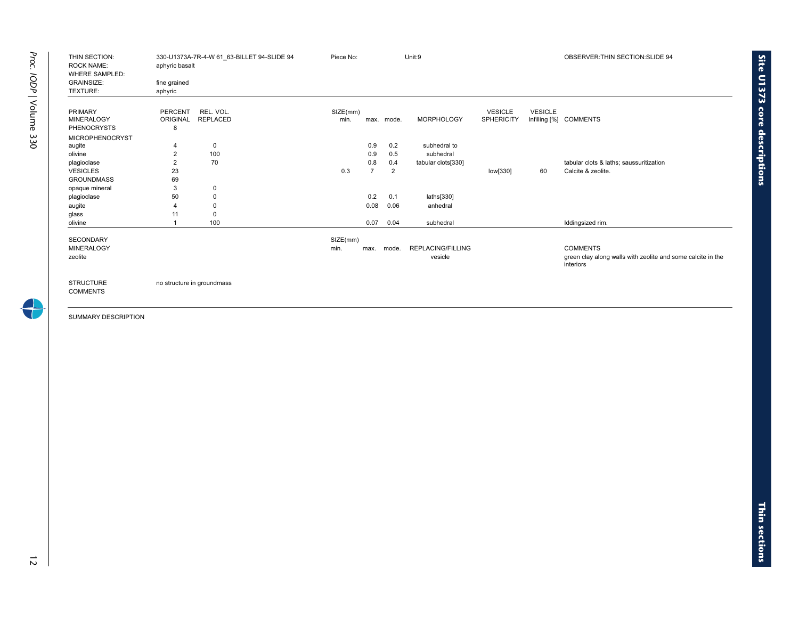| THIN SECTION:<br><b>ROCK NAME:</b><br><b>WHERE SAMPLED:</b><br><b>GRAINSIZE:</b><br>TEXTURE: | 330-U1373A-7R-4-W 61 63-BILLET 94-SLIDE 94<br>aphyric basalt<br>fine grained<br>aphyric | Piece No: |      |            | Unit:9             |                   |                | OBSERVER: THIN SECTION: SLIDE 94                                         |
|----------------------------------------------------------------------------------------------|-----------------------------------------------------------------------------------------|-----------|------|------------|--------------------|-------------------|----------------|--------------------------------------------------------------------------|
|                                                                                              |                                                                                         |           |      |            |                    |                   |                |                                                                          |
| <b>PRIMARY</b>                                                                               | REL. VOL.<br>PERCENT                                                                    | SIZE(mm)  |      |            |                    | <b>VESICLE</b>    | <b>VESICLE</b> |                                                                          |
| <b>MINERALOGY</b>                                                                            | ORIGINAL<br><b>REPLACED</b>                                                             | min.      |      | max. mode. | <b>MORPHOLOGY</b>  | <b>SPHERICITY</b> |                | Infilling [%] COMMENTS                                                   |
| <b>PHENOCRYSTS</b>                                                                           | 8                                                                                       |           |      |            |                    |                   |                |                                                                          |
| MICROPHENOCRYST                                                                              |                                                                                         |           |      |            |                    |                   |                |                                                                          |
| augite                                                                                       | 0<br>4                                                                                  |           | 0.9  | 0.2        | subhedral to       |                   |                |                                                                          |
| olivine                                                                                      | 100<br>$\overline{2}$                                                                   |           | 0.9  | 0.5        | subhedral          |                   |                |                                                                          |
| plagioclase                                                                                  | 70<br>2                                                                                 |           | 0.8  | 0.4        | tabular clots[330] |                   |                | tabular clots & laths; saussuritization                                  |
| <b>VESICLES</b>                                                                              | 23                                                                                      | 0.3       | 7    | 2          |                    | low[330]          | 60             | Calcite & zeolite.                                                       |
| <b>GROUNDMASS</b>                                                                            | 69                                                                                      |           |      |            |                    |                   |                |                                                                          |
| opaque mineral                                                                               | 0<br>3                                                                                  |           |      |            |                    |                   |                |                                                                          |
| plagioclase                                                                                  | 50<br>$\mathbf 0$                                                                       |           | 0.2  | 0.1        | laths[330]         |                   |                |                                                                          |
| augite                                                                                       | $\mathbf 0$<br>4                                                                        |           | 0.08 | 0.06       | anhedral           |                   |                |                                                                          |
| glass                                                                                        | 11<br>$\mathbf 0$                                                                       |           |      |            |                    |                   |                |                                                                          |
| olivine                                                                                      | 100                                                                                     |           | 0.07 | 0.04       | subhedral          |                   |                | Iddingsized rim.                                                         |
|                                                                                              |                                                                                         |           |      |            |                    |                   |                |                                                                          |
| <b>SECONDARY</b>                                                                             |                                                                                         | SIZE(mm)  |      |            |                    |                   |                |                                                                          |
| MINERALOGY                                                                                   |                                                                                         | min.      | max. | mode.      | REPLACING/FILLING  |                   |                | <b>COMMENTS</b>                                                          |
| zeolite                                                                                      |                                                                                         |           |      |            | vesicle            |                   |                | green clay along walls with zeolite and some calcite in the<br>interiors |

STRUCTURE no structure in groundmass

COMMENTS

SUMMARY DESCRIPTION

 $\div$ 

**Site U1373 core**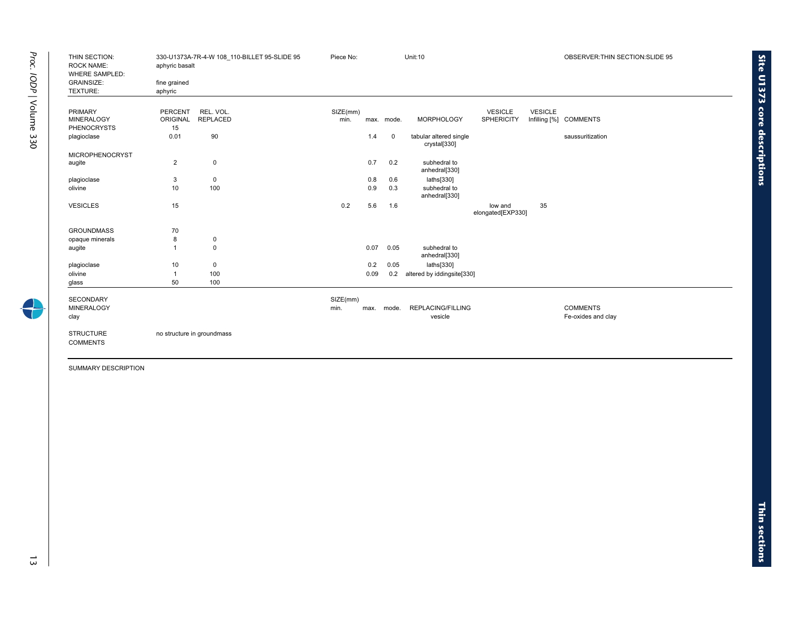| THIN SECTION:<br><b>ROCK NAME:</b>  | aphyric basalt             | 330-U1373A-7R-4-W 108 110-BILLET 95-SLIDE 95 | Piece No: |      |            | <b>Unit:10</b>                         |                              |                | OBSERVER: THIN SECTION: SLIDE 95 |
|-------------------------------------|----------------------------|----------------------------------------------|-----------|------|------------|----------------------------------------|------------------------------|----------------|----------------------------------|
| <b>WHERE SAMPLED:</b>               |                            |                                              |           |      |            |                                        |                              |                |                                  |
| <b>GRAINSIZE:</b>                   | fine grained               |                                              |           |      |            |                                        |                              |                |                                  |
| TEXTURE:                            | aphyric                    |                                              |           |      |            |                                        |                              |                |                                  |
| <b>PRIMARY</b>                      | <b>PERCENT</b>             | REL. VOL.                                    | SIZE(mm)  |      |            |                                        | <b>VESICLE</b>               | <b>VESICLE</b> |                                  |
| <b>MINERALOGY</b>                   | ORIGINAL                   | <b>REPLACED</b>                              | min.      |      | max. mode. | <b>MORPHOLOGY</b>                      | SPHERICITY                   |                | Infilling [%] COMMENTS           |
| <b>PHENOCRYSTS</b>                  | 15                         |                                              |           |      |            |                                        |                              |                |                                  |
| plagioclase                         | 0.01                       | 90                                           |           | 1.4  | 0          | tabular altered single<br>crystal[330] |                              |                | saussuritization                 |
| <b>MICROPHENOCRYST</b>              |                            |                                              |           |      |            |                                        |                              |                |                                  |
| augite                              | $\overline{2}$             | 0                                            |           | 0.7  | 0.2        | subhedral to<br>anhedral[330]          |                              |                |                                  |
| plagioclase                         | 3                          | 0                                            |           | 0.8  | 0.6        | laths[330]                             |                              |                |                                  |
| olivine                             | 10                         | 100                                          |           | 0.9  | 0.3        | subhedral to<br>anhedral[330]          |                              |                |                                  |
| <b>VESICLES</b>                     | 15                         |                                              | 0.2       | 5.6  | 1.6        |                                        | low and<br>elongated[EXP330] | 35             |                                  |
| <b>GROUNDMASS</b>                   | 70                         |                                              |           |      |            |                                        |                              |                |                                  |
| opaque minerals                     | 8                          | 0                                            |           |      |            |                                        |                              |                |                                  |
| augite                              | $\mathbf{1}$               | $\mathsf 0$                                  |           | 0.07 | 0.05       | subhedral to<br>anhedral[330]          |                              |                |                                  |
| plagioclase                         | 10                         | 0                                            |           | 0.2  | 0.05       | laths[330]                             |                              |                |                                  |
| olivine                             | $\mathbf{1}$               | 100                                          |           | 0.09 | 0.2        | altered by iddingsite[330]             |                              |                |                                  |
| glass                               | 50                         | 100                                          |           |      |            |                                        |                              |                |                                  |
| <b>SECONDARY</b>                    |                            |                                              | SIZE(mm)  |      |            |                                        |                              |                |                                  |
| <b>MINERALOGY</b>                   |                            |                                              | min.      |      | max. mode. | <b>REPLACING/FILLING</b>               |                              |                | <b>COMMENTS</b>                  |
| clay                                |                            |                                              |           |      |            | vesicle                                |                              |                | Fe-oxides and clay               |
| <b>STRUCTURE</b><br><b>COMMENTS</b> | no structure in groundmass |                                              |           |      |            |                                        |                              |                |                                  |
|                                     |                            |                                              |           |      |            |                                        |                              |                |                                  |

**Site U1373 core** 

**descriptions**

13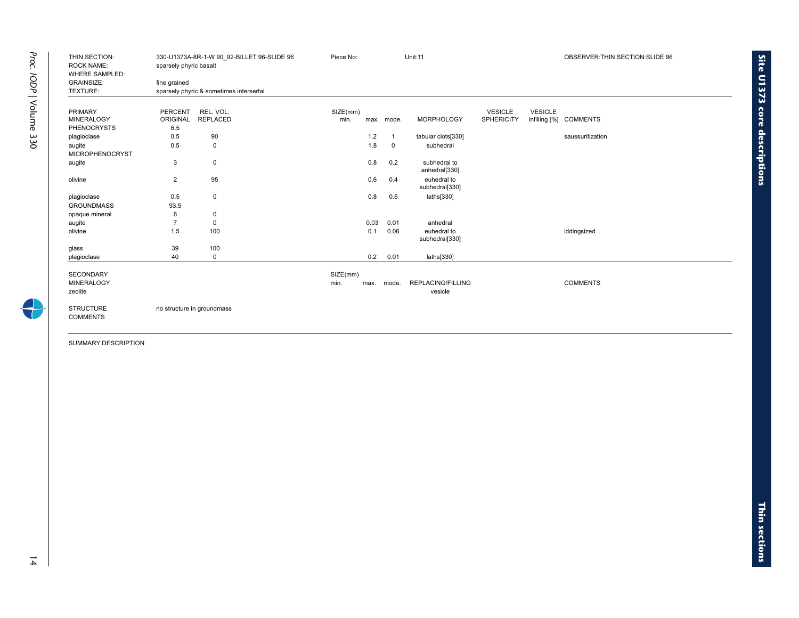| THIN SECTION:<br><b>ROCK NAME:</b><br><b>WHERE SAMPLED:</b> | sparsely phyric basalt | 330-U1373A-8R-1-W 90 92-BILLET 96-SLIDE 96 | Piece No: |      |              | Unit:11                       |                   |                | OBSERVER: THIN SECTION: SLIDE 96 |
|-------------------------------------------------------------|------------------------|--------------------------------------------|-----------|------|--------------|-------------------------------|-------------------|----------------|----------------------------------|
| <b>GRAINSIZE:</b>                                           | fine grained           |                                            |           |      |              |                               |                   |                |                                  |
| TEXTURE:                                                    |                        | sparsely phyric & sometimes intersertal    |           |      |              |                               |                   |                |                                  |
|                                                             |                        |                                            |           |      |              |                               |                   |                |                                  |
| PRIMARY                                                     | PERCENT                | REL. VOL.                                  | SIZE(mm)  |      |              |                               | <b>VESICLE</b>    | <b>VESICLE</b> |                                  |
| <b>MINERALOGY</b>                                           | ORIGINAL               | <b>REPLACED</b>                            | min.      |      | max. mode.   | <b>MORPHOLOGY</b>             | <b>SPHERICITY</b> |                | Infilling [%] COMMENTS           |
| <b>PHENOCRYSTS</b>                                          | 6.5                    |                                            |           |      |              |                               |                   |                |                                  |
| plagioclase                                                 | 0.5                    | 90                                         |           | 1.2  | $\mathbf{1}$ | tabular clots[330]            |                   |                | saussuritization                 |
| augite                                                      | 0.5                    | $\mathsf 0$                                |           | 1.8  | 0            | subhedral                     |                   |                |                                  |
| <b>MICROPHENOCRYST</b>                                      |                        |                                            |           |      |              |                               |                   |                |                                  |
| augite                                                      | 3                      | $\mathbf 0$                                |           | 0.8  | 0.2          | subhedral to<br>anhedral[330] |                   |                |                                  |
| olivine                                                     | $\overline{2}$         | 95                                         |           | 0.6  | 0.4          | euhedral to<br>subhedral[330] |                   |                |                                  |
| plagioclase                                                 | 0.5                    | $\mathbf 0$                                |           | 0.8  | 0.6          | laths[330]                    |                   |                |                                  |
| <b>GROUNDMASS</b>                                           | 93.5                   |                                            |           |      |              |                               |                   |                |                                  |
| opaque mineral                                              | 6                      | 0                                          |           |      |              |                               |                   |                |                                  |
| augite                                                      | $\overline{7}$         | $\mathbf 0$                                |           | 0.03 | 0.01         | anhedral                      |                   |                |                                  |
| olivine                                                     | 1.5                    | 100                                        |           | 0.1  | 0.06         | euhedral to                   |                   |                | iddingsized                      |
|                                                             |                        |                                            |           |      |              | subhedral[330]                |                   |                |                                  |
| glass                                                       | 39                     | 100                                        |           |      |              |                               |                   |                |                                  |
| plagioclase                                                 | 40                     | $\mathbf 0$                                |           | 0.2  | 0.01         | laths[330]                    |                   |                |                                  |
|                                                             |                        |                                            |           |      |              |                               |                   |                |                                  |
| SECONDARY                                                   |                        |                                            | SIZE(mm)  |      |              |                               |                   |                |                                  |
| <b>MINERALOGY</b>                                           |                        |                                            | min.      |      | max. mode.   | REPLACING/FILLING             |                   |                | <b>COMMENTS</b>                  |
| zeolite                                                     |                        |                                            |           |      |              | vesicle                       |                   |                |                                  |
| <b>STRUCTURE</b>                                            |                        | no structure in groundmass                 |           |      |              |                               |                   |                |                                  |
| <b>COMMENTS</b>                                             |                        |                                            |           |      |              |                               |                   |                |                                  |
|                                                             |                        |                                            |           |      |              |                               |                   |                |                                  |

 $\rightarrow$ 

**Site U1373 core**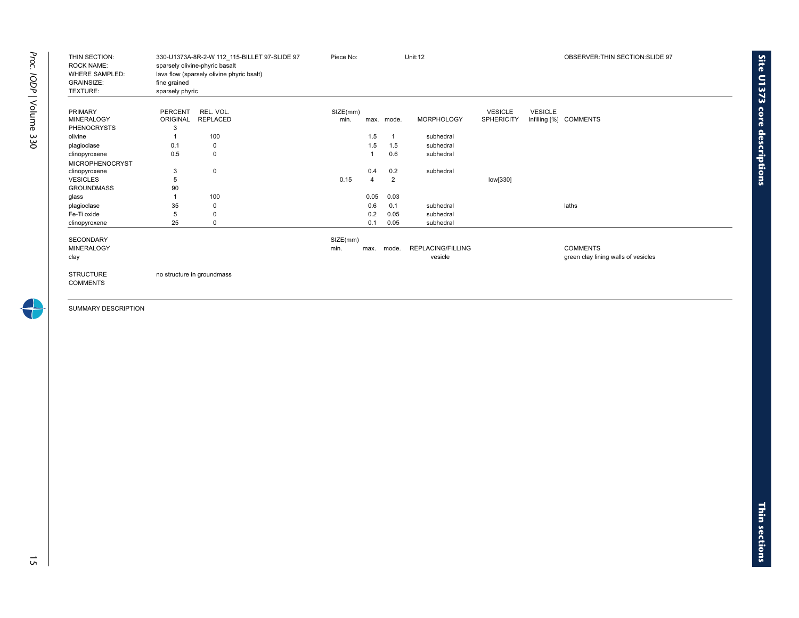| THIN SECTION:<br><b>ROCK NAME:</b><br><b>WHERE SAMPLED:</b><br><b>GRAINSIZE:</b><br>TEXTURE: | fine grained<br>sparsely phyric   | 330-U1373A-8R-2-W 112 115-BILLET 97-SLIDE 97<br>sparsely olivine-phyric basalt<br>lava flow (sparsely olivine phyric bsalt) |                  | Piece No:<br>Unit:12 |            |                                     |                                     |                | OBSERVER: THIN SECTION: SLIDE 97                       |
|----------------------------------------------------------------------------------------------|-----------------------------------|-----------------------------------------------------------------------------------------------------------------------------|------------------|----------------------|------------|-------------------------------------|-------------------------------------|----------------|--------------------------------------------------------|
| PRIMARY<br><b>MINERALOGY</b>                                                                 | <b>PERCENT</b><br><b>ORIGINAL</b> | REL. VOL.<br><b>REPLACED</b>                                                                                                | SIZE(mm)<br>min. |                      | max. mode. | <b>MORPHOLOGY</b>                   | <b>VESICLE</b><br><b>SPHERICITY</b> | <b>VESICLE</b> | Infilling [%] COMMENTS                                 |
| <b>PHENOCRYSTS</b><br>olivine                                                                | 3                                 | 100                                                                                                                         |                  | 1.5                  | -1         | subhedral                           |                                     |                |                                                        |
| plagioclase                                                                                  | 0.1                               | 0                                                                                                                           |                  | 1.5                  | 1.5        | subhedral                           |                                     |                |                                                        |
| clinopyroxene                                                                                | 0.5                               | 0                                                                                                                           |                  |                      | 0.6        | subhedral                           |                                     |                |                                                        |
| <b>MICROPHENOCRYST</b>                                                                       |                                   |                                                                                                                             |                  |                      |            |                                     |                                     |                |                                                        |
| clinopyroxene                                                                                | 3                                 | 0                                                                                                                           |                  | 0.4                  | 0.2        | subhedral                           |                                     |                |                                                        |
| <b>VESICLES</b>                                                                              | 5                                 |                                                                                                                             | 0.15             | $\overline{4}$       | 2          |                                     | low[330]                            |                |                                                        |
| <b>GROUNDMASS</b>                                                                            | 90                                |                                                                                                                             |                  |                      |            |                                     |                                     |                |                                                        |
| glass                                                                                        |                                   | 100                                                                                                                         |                  | 0.05                 | 0.03       |                                     |                                     |                |                                                        |
| plagioclase                                                                                  | 35                                | 0                                                                                                                           |                  | 0.6                  | 0.1        | subhedral                           |                                     |                | laths                                                  |
| Fe-Ti oxide                                                                                  | 5                                 | $\Omega$                                                                                                                    |                  | 0.2                  | 0.05       | subhedral                           |                                     |                |                                                        |
| clinopyroxene                                                                                | 25                                | 0                                                                                                                           |                  | 0.1                  | 0.05       | subhedral                           |                                     |                |                                                        |
| <b>SECONDARY</b><br><b>MINERALOGY</b><br>clay                                                |                                   |                                                                                                                             | SIZE(mm)<br>min. | max.                 | mode.      | <b>REPLACING/FILLING</b><br>vesicle |                                     |                | <b>COMMENTS</b><br>green clay lining walls of vesicles |
| <b>STRUCTURE</b><br><b>COMMENTS</b>                                                          |                                   | no structure in groundmass                                                                                                  |                  |                      |            |                                     |                                     |                |                                                        |

7

**Site U1373 core**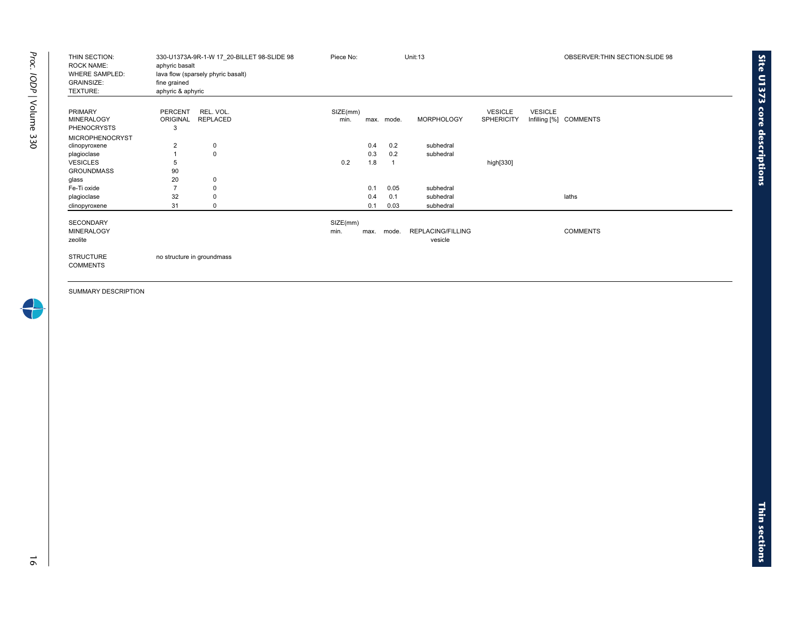| THIN SECTION:<br><b>ROCK NAME:</b><br><b>WHERE SAMPLED:</b><br><b>GRAINSIZE:</b><br>TEXTURE: | aphyric basalt<br>fine grained<br>aphyric & aphyric | 330-U1373A-9R-1-W 17 20-BILLET 98-SLIDE 98<br>lava flow (sparsely phyric basalt) | Piece No:        |      |            | <b>Unit:13</b>               |                                     | OBSERVER: THIN SECTION: SLIDE 98 |                        |
|----------------------------------------------------------------------------------------------|-----------------------------------------------------|----------------------------------------------------------------------------------|------------------|------|------------|------------------------------|-------------------------------------|----------------------------------|------------------------|
| <b>PRIMARY</b><br><b>MINERALOGY</b><br><b>PHENOCRYSTS</b>                                    | PERCENT<br>ORIGINAL<br>3                            | REL. VOL.<br>REPLACED                                                            | SIZE(mm)<br>min. |      | max. mode. | <b>MORPHOLOGY</b>            | <b>VESICLE</b><br><b>SPHERICITY</b> | <b>VESICLE</b>                   | Infilling [%] COMMENTS |
| <b>MICROPHENOCRYST</b>                                                                       | $\overline{2}$                                      | 0                                                                                |                  | 0.4  | 0.2        | subhedral                    |                                     |                                  |                        |
| clinopyroxene<br>plagioclase                                                                 |                                                     | $\mathbf 0$                                                                      |                  | 0.3  | 0.2        | subhedral                    |                                     |                                  |                        |
| <b>VESICLES</b>                                                                              | 5                                                   |                                                                                  | 0.2              | 1.8  | -1         |                              | high[330]                           |                                  |                        |
| <b>GROUNDMASS</b>                                                                            | 90                                                  |                                                                                  |                  |      |            |                              |                                     |                                  |                        |
| glass                                                                                        | 20                                                  | $\mathbf 0$                                                                      |                  |      |            |                              |                                     |                                  |                        |
| Fe-Ti oxide                                                                                  | $\overline{7}$                                      | 0                                                                                |                  | 0.1  | 0.05       | subhedral                    |                                     |                                  |                        |
| plagioclase                                                                                  | 32                                                  | 0                                                                                |                  | 0.4  | 0.1        | subhedral                    |                                     |                                  | laths                  |
| clinopyroxene                                                                                | 31                                                  | $\mathbf 0$                                                                      |                  | 0.1  | 0.03       | subhedral                    |                                     |                                  |                        |
| <b>SECONDARY</b><br><b>MINERALOGY</b><br>zeolite                                             |                                                     |                                                                                  | SIZE(mm)<br>min. | max. | mode.      | REPLACING/FILLING<br>vesicle |                                     |                                  | <b>COMMENTS</b>        |
| <b>STRUCTURE</b>                                                                             |                                                     | no structure in groundmass                                                       |                  |      |            |                              |                                     |                                  |                        |
| <b>COMMENTS</b>                                                                              |                                                     |                                                                                  |                  |      |            |                              |                                     |                                  |                        |

 $\rightarrow$ 

**Site U1373 core** 

**descriptions**

16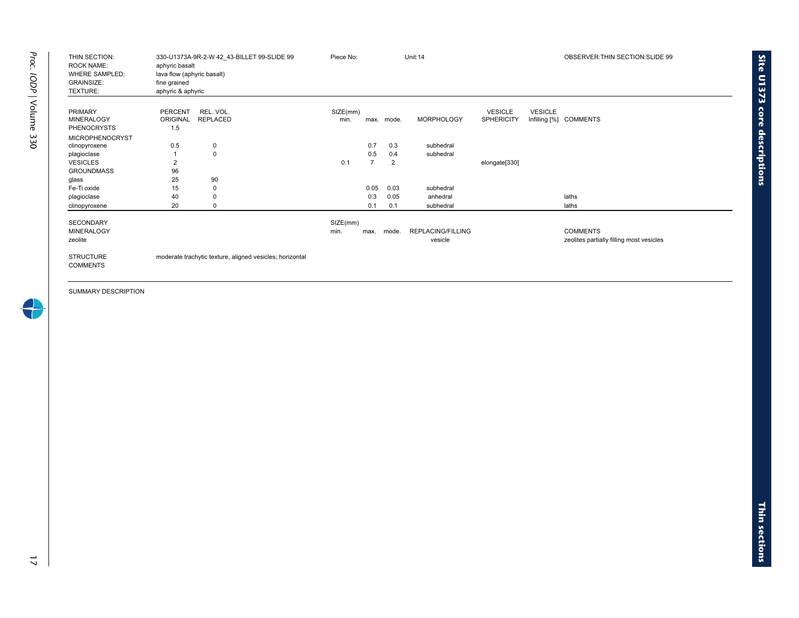| THIN SECTION:<br><b>ROCK NAME:</b><br><b>WHERE SAMPLED:</b><br><b>GRAINSIZE:</b><br>TEXTURE: | 330-U1373A-9R-2-W 42 43-BILLET 99-SLIDE 99<br>aphyric basalt<br>lava flow (aphyric basalt)<br>fine grained<br>aphyric & aphyric | Piece No:        |                              |            | Unit:14                      |                                     | OBSERVER: THIN SECTION: SLIDE 99 |                                                             |  |
|----------------------------------------------------------------------------------------------|---------------------------------------------------------------------------------------------------------------------------------|------------------|------------------------------|------------|------------------------------|-------------------------------------|----------------------------------|-------------------------------------------------------------|--|
| <b>PRIMARY</b><br><b>MINERALOGY</b><br><b>PHENOCRYSTS</b>                                    | <b>PERCENT</b><br>REL. VOL.<br>ORIGINAL<br><b>REPLACED</b><br>1.5                                                               | SIZE(mm)<br>min. |                              | max. mode. | <b>MORPHOLOGY</b>            | <b>VESICLE</b><br><b>SPHERICITY</b> | <b>VESICLE</b>                   | Infilling [%] COMMENTS                                      |  |
| <b>MICROPHENOCRYST</b><br>clinopyroxene<br>plagioclase<br><b>VESICLES</b>                    | 0.5<br>0<br>0                                                                                                                   | 0.1              | 0.7<br>0.5<br>$\overline{7}$ | 0.3<br>0.4 | subhedral<br>subhedral       |                                     |                                  |                                                             |  |
| <b>GROUNDMASS</b><br>glass                                                                   | 2<br>96<br>90<br>25                                                                                                             |                  |                              | 2          |                              | elongate[330]                       |                                  |                                                             |  |
| Fe-Ti oxide                                                                                  | 15<br>0                                                                                                                         |                  | 0.05                         | 0.03       | subhedral                    |                                     |                                  |                                                             |  |
| plagioclase                                                                                  | 40                                                                                                                              |                  | 0.3                          | 0.05       | anhedral                     |                                     |                                  | laths                                                       |  |
| clinopyroxene                                                                                | 20<br>0                                                                                                                         |                  | 0.1                          | 0.1        | subhedral                    |                                     |                                  | laths                                                       |  |
| <b>SECONDARY</b><br><b>MINERALOGY</b><br>zeolite                                             |                                                                                                                                 | SIZE(mm)<br>min. | max.                         | mode.      | REPLACING/FILLING<br>vesicle |                                     |                                  | <b>COMMENTS</b><br>zeolites partially filling most vesicles |  |
| <b>STRUCTURE</b><br><b>COMMENTS</b>                                                          | moderate trachytic texture, aligned vesicles; horizontal                                                                        |                  |                              |            |                              |                                     |                                  |                                                             |  |

 $\rightarrow$ 

**Site U1373 core**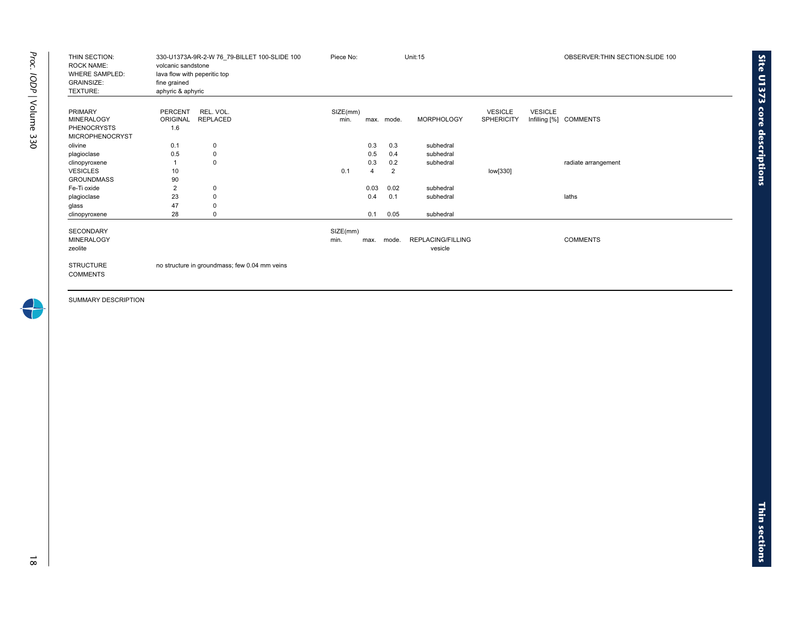| THIN SECTION:<br><b>ROCK NAME:</b><br><b>WHERE SAMPLED:</b><br><b>GRAINSIZE:</b><br>TEXTURE: | volcanic sandstone<br>lava flow with peperitic top<br>fine grained<br>aphyric & aphyric | 330-U1373A-9R-2-W 76 79-BILLET 100-SLIDE 100  | <b>Unit:15</b><br>Piece No: |                |                |                                     |                                     |                | OBSERVER: THIN SECTION: SLIDE 100 |
|----------------------------------------------------------------------------------------------|-----------------------------------------------------------------------------------------|-----------------------------------------------|-----------------------------|----------------|----------------|-------------------------------------|-------------------------------------|----------------|-----------------------------------|
| <b>PRIMARY</b><br><b>MINERALOGY</b><br><b>PHENOCRYSTS</b><br><b>MICROPHENOCRYST</b>          | REL. VOL.<br><b>PERCENT</b><br><b>REPLACED</b><br>ORIGINAL<br>1.6                       |                                               | SIZE(mm)<br>min.            |                | max. mode.     | <b>MORPHOLOGY</b>                   | <b>VESICLE</b><br><b>SPHERICITY</b> | <b>VESICLE</b> | Infilling [%] COMMENTS            |
| olivine                                                                                      | 0.1<br>0                                                                                |                                               |                             | 0.3            | 0.3            | subhedral                           |                                     |                |                                   |
| plagioclase                                                                                  | 0.5<br>0                                                                                |                                               |                             | 0.5            | 0.4            | subhedral                           |                                     |                |                                   |
| clinopyroxene                                                                                | $\mathbf 0$                                                                             |                                               |                             | 0.3            | 0.2            | subhedral                           |                                     |                | radiate arrangement               |
| <b>VESICLES</b>                                                                              | 10                                                                                      |                                               | 0.1                         | $\overline{4}$ | $\overline{2}$ |                                     | low[330]                            |                |                                   |
| <b>GROUNDMASS</b>                                                                            | 90                                                                                      |                                               |                             |                |                |                                     |                                     |                |                                   |
| Fe-Ti oxide                                                                                  | $\overline{2}$<br>0                                                                     |                                               |                             | 0.03           | 0.02           | subhedral                           |                                     |                |                                   |
| plagioclase                                                                                  | 23<br>0                                                                                 |                                               |                             | 0.4            | 0.1            | subhedral                           |                                     |                | laths                             |
| glass                                                                                        | 47<br>0                                                                                 |                                               |                             |                |                |                                     |                                     |                |                                   |
| clinopyroxene                                                                                | 28<br>$\mathbf 0$                                                                       |                                               |                             | 0.1            | 0.05           | subhedral                           |                                     |                |                                   |
| <b>SECONDARY</b><br><b>MINERALOGY</b><br>zeolite                                             |                                                                                         |                                               | SIZE(mm)<br>min.            | max.           | mode.          | <b>REPLACING/FILLING</b><br>vesicle |                                     |                | <b>COMMENTS</b>                   |
| <b>STRUCTURE</b><br><b>COMMENTS</b>                                                          |                                                                                         | no structure in groundmass; few 0.04 mm veins |                             |                |                |                                     |                                     |                |                                   |

4

**Site U1373 core**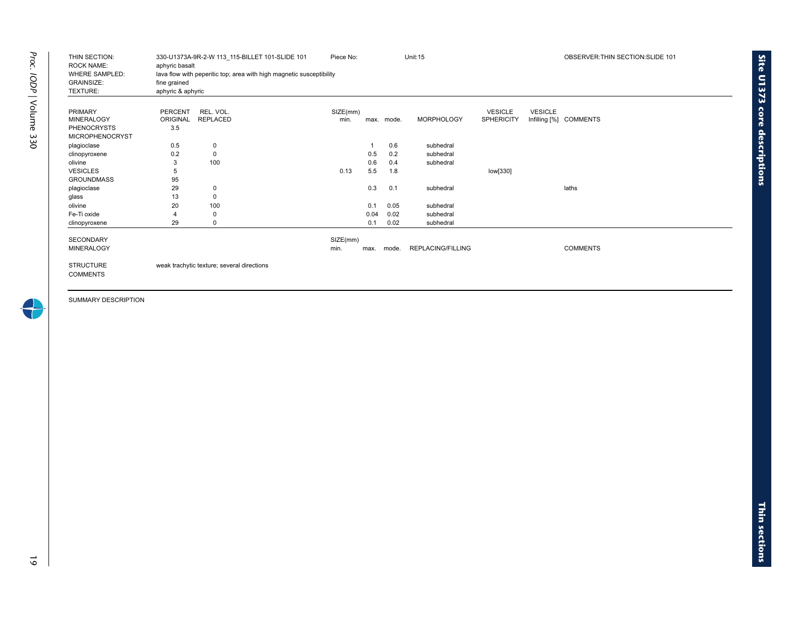| THIN SECTION:<br><b>ROCK NAME:</b><br><b>WHERE SAMPLED:</b><br><b>GRAINSIZE:</b><br>TEXTURE: | aphyric basalt<br>fine grained<br>aphyric & aphyric | 330-U1373A-9R-2-W 113 115-BILLET 101-SLIDE 101<br>lava flow with peperitic top; area with high magnetic susceptibility | Piece No: |      |            | Unit:15                  |                   |                | OBSERVER: THIN SECTION: SLIDE 101 |
|----------------------------------------------------------------------------------------------|-----------------------------------------------------|------------------------------------------------------------------------------------------------------------------------|-----------|------|------------|--------------------------|-------------------|----------------|-----------------------------------|
| <b>PRIMARY</b>                                                                               | <b>PERCENT</b>                                      | REL. VOL.                                                                                                              | SIZE(mm)  |      |            |                          | <b>VESICLE</b>    | <b>VESICLE</b> |                                   |
| <b>MINERALOGY</b>                                                                            | ORIGINAL                                            | <b>REPLACED</b>                                                                                                        | min.      |      | max. mode. | <b>MORPHOLOGY</b>        | <b>SPHERICITY</b> |                | Infilling [%] COMMENTS            |
| <b>PHENOCRYSTS</b><br><b>MICROPHENOCRYST</b>                                                 | 3.5                                                 |                                                                                                                        |           |      |            |                          |                   |                |                                   |
| plagioclase                                                                                  | 0.5                                                 | $\mathbf 0$                                                                                                            |           | 1    | 0.6        | subhedral                |                   |                |                                   |
| clinopyroxene                                                                                | 0.2                                                 | $\mathbf 0$                                                                                                            |           | 0.5  | 0.2        | subhedral                |                   |                |                                   |
| olivine                                                                                      | 3                                                   | 100                                                                                                                    |           | 0.6  | 0.4        | subhedral                |                   |                |                                   |
| <b>VESICLES</b>                                                                              | 5                                                   |                                                                                                                        | 0.13      | 5.5  | 1.8        |                          | low[330]          |                |                                   |
| <b>GROUNDMASS</b>                                                                            | 95                                                  |                                                                                                                        |           |      |            |                          |                   |                |                                   |
| plagioclase                                                                                  | 29                                                  | 0                                                                                                                      |           | 0.3  | 0.1        | subhedral                |                   |                | laths                             |
| glass                                                                                        | 13                                                  | 0                                                                                                                      |           |      |            |                          |                   |                |                                   |
| olivine                                                                                      | 20                                                  | 100                                                                                                                    |           | 0.1  | 0.05       | subhedral                |                   |                |                                   |
| Fe-Ti oxide                                                                                  | 4                                                   | 0                                                                                                                      |           | 0.04 | 0.02       | subhedral                |                   |                |                                   |
| clinopyroxene                                                                                | 29                                                  | 0                                                                                                                      |           | 0.1  | 0.02       | subhedral                |                   |                |                                   |
| <b>SECONDARY</b>                                                                             |                                                     |                                                                                                                        | SIZE(mm)  |      |            |                          |                   |                |                                   |
| <b>MINERALOGY</b>                                                                            |                                                     |                                                                                                                        | min.      | max. | mode.      | <b>REPLACING/FILLING</b> |                   |                | <b>COMMENTS</b>                   |
| <b>STRUCTURE</b><br><b>COMMENTS</b>                                                          |                                                     | weak trachytic texture; several directions                                                                             |           |      |            |                          |                   |                |                                   |

**Thin** 

**sections**

**Site U1373 core**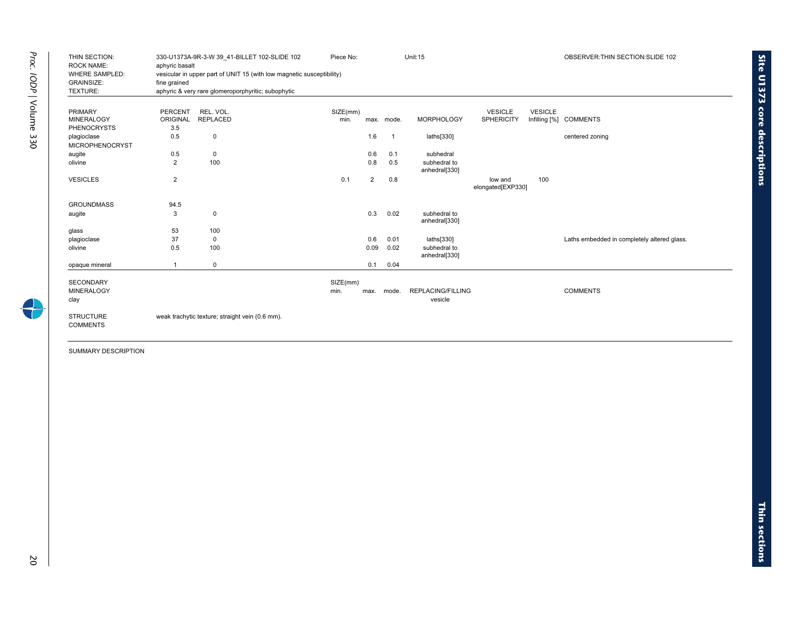| THIN SECTION:<br><b>ROCK NAME:</b><br><b>WHERE SAMPLED:</b><br><b>GRAINSIZE:</b><br>TEXTURE: | aphyric basalt<br>fine grained | 330-U1373A-9R-3-W 39 41-BILLET 102-SLIDE 102<br>vesicular in upper part of UNIT 15 (with low magnetic susceptibility)<br>aphyric & very rare glomeroporphyritic; subophytic | Piece No:        |      |              | <b>Unit:15</b>                |                              |                | OBSERVER: THIN SECTION: SLIDE 102           |
|----------------------------------------------------------------------------------------------|--------------------------------|-----------------------------------------------------------------------------------------------------------------------------------------------------------------------------|------------------|------|--------------|-------------------------------|------------------------------|----------------|---------------------------------------------|
| PRIMARY                                                                                      | PERCENT                        | REL. VOL.                                                                                                                                                                   |                  |      |              |                               | <b>VESICLE</b>               | <b>VESICLE</b> |                                             |
| <b>MINERALOGY</b>                                                                            | <b>ORIGINAL</b>                | <b>REPLACED</b>                                                                                                                                                             | SIZE(mm)<br>min. |      | max. mode.   | <b>MORPHOLOGY</b>             | <b>SPHERICITY</b>            |                | Infilling [%] COMMENTS                      |
| <b>PHENOCRYSTS</b>                                                                           | 3.5                            |                                                                                                                                                                             |                  |      |              |                               |                              |                |                                             |
| plagioclase<br><b>MICROPHENOCRYST</b>                                                        | 0.5                            | $\mathbf 0$                                                                                                                                                                 |                  | 1.6  | $\mathbf{1}$ | laths[330]                    |                              |                | centered zoning                             |
| augite                                                                                       | 0.5                            | 0                                                                                                                                                                           |                  | 0.6  | 0.1          | subhedral                     |                              |                |                                             |
| olivine                                                                                      | $\overline{2}$                 | 100                                                                                                                                                                         |                  | 0.8  | 0.5          | subhedral to<br>anhedral[330] |                              |                |                                             |
| <b>VESICLES</b>                                                                              | $\overline{2}$                 |                                                                                                                                                                             | 0.1              | 2    | 0.8          |                               | low and<br>elongated[EXP330] | 100            |                                             |
| <b>GROUNDMASS</b>                                                                            | 94.5                           |                                                                                                                                                                             |                  |      |              |                               |                              |                |                                             |
| augite                                                                                       | 3                              | 0                                                                                                                                                                           |                  | 0.3  | 0.02         | subhedral to<br>anhedral[330] |                              |                |                                             |
| glass                                                                                        | 53                             | 100                                                                                                                                                                         |                  |      |              |                               |                              |                |                                             |
| plagioclase                                                                                  | 37                             | $\mathbf 0$                                                                                                                                                                 |                  | 0.6  | 0.01         | laths[330]                    |                              |                | Laths embedded in completely altered glass. |
| olivine                                                                                      | 0.5                            | 100                                                                                                                                                                         |                  | 0.09 | 0.02         | subhedral to<br>anhedral[330] |                              |                |                                             |
| opaque mineral                                                                               | 1                              | $\mathbf 0$                                                                                                                                                                 |                  | 0.1  | 0.04         |                               |                              |                |                                             |
| <b>SECONDARY</b><br><b>MINERALOGY</b><br>clay                                                |                                |                                                                                                                                                                             | SIZE(mm)<br>min. | max. | mode.        | REPLACING/FILLING<br>vesicle  |                              |                | <b>COMMENTS</b>                             |
| <b>STRUCTURE</b><br><b>COMMENTS</b>                                                          |                                | weak trachytic texture; straight vein (0.6 mm).                                                                                                                             |                  |      |              |                               |                              |                |                                             |

**Site U1373 core**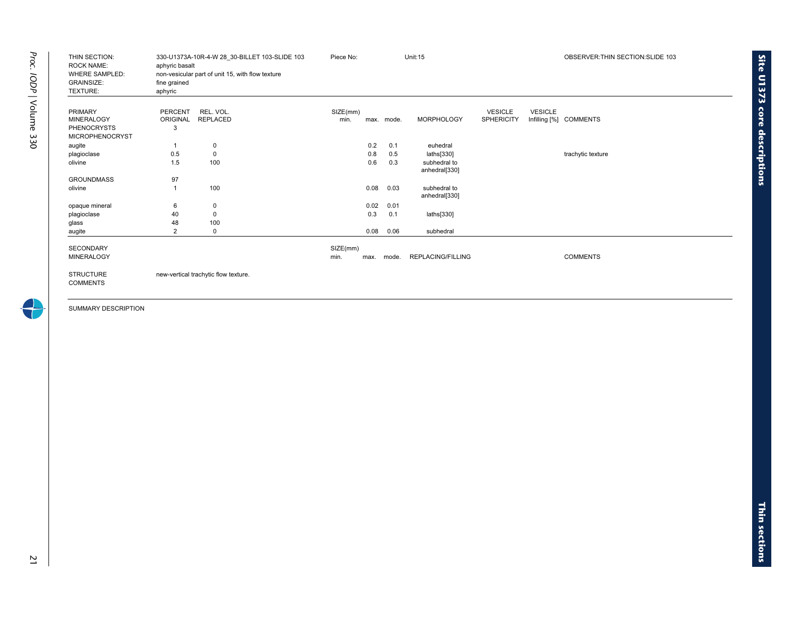| THIN SECTION:<br><b>ROCK NAME:</b><br><b>WHERE SAMPLED:</b><br><b>GRAINSIZE:</b><br>TEXTURE: | aphyric basalt<br>fine grained<br>aphyric | 330-U1373A-10R-4-W 28 30-BILLET 103-SLIDE 103<br>non-vesicular part of unit 15, with flow texture | Piece No: |      |            | <b>Unit:15</b>                |                   |                | OBSERVER: THIN SECTION: SLIDE 103 |
|----------------------------------------------------------------------------------------------|-------------------------------------------|---------------------------------------------------------------------------------------------------|-----------|------|------------|-------------------------------|-------------------|----------------|-----------------------------------|
| <b>PRIMARY</b>                                                                               | PERCENT                                   | REL. VOL.                                                                                         | SIZE(mm)  |      |            |                               | <b>VESICLE</b>    | <b>VESICLE</b> |                                   |
| <b>MINERALOGY</b>                                                                            | ORIGINAL                                  | <b>REPLACED</b>                                                                                   | min.      |      | max. mode. | <b>MORPHOLOGY</b>             | <b>SPHERICITY</b> |                | Infilling [%] COMMENTS            |
| <b>PHENOCRYSTS</b><br><b>MICROPHENOCRYST</b>                                                 | 3                                         |                                                                                                   |           |      |            |                               |                   |                |                                   |
| augite                                                                                       |                                           | 0                                                                                                 |           | 0.2  | 0.1        | euhedral                      |                   |                |                                   |
| plagioclase                                                                                  | 0.5                                       | $\mathbf 0$                                                                                       |           | 0.8  | 0.5        | laths[330]                    |                   |                | trachytic texture                 |
| olivine                                                                                      | 1.5                                       | 100                                                                                               |           | 0.6  | 0.3        | subhedral to<br>anhedral[330] |                   |                |                                   |
| <b>GROUNDMASS</b>                                                                            | 97                                        |                                                                                                   |           |      |            |                               |                   |                |                                   |
| olivine                                                                                      | 1                                         | 100                                                                                               |           | 0.08 | 0.03       | subhedral to<br>anhedral[330] |                   |                |                                   |
| opaque mineral                                                                               | 6                                         | 0                                                                                                 |           | 0.02 | 0.01       |                               |                   |                |                                   |
| plagioclase                                                                                  | 40                                        | $\mathbf 0$                                                                                       |           | 0.3  | 0.1        | laths[330]                    |                   |                |                                   |
| glass                                                                                        | 48                                        | 100                                                                                               |           |      |            |                               |                   |                |                                   |
| augite                                                                                       | 2                                         | 0                                                                                                 |           | 0.08 | 0.06       | subhedral                     |                   |                |                                   |
| <b>SECONDARY</b>                                                                             |                                           |                                                                                                   | SIZE(mm)  |      |            |                               |                   |                |                                   |
| <b>MINERALOGY</b>                                                                            |                                           |                                                                                                   | min.      | max. | mode.      | REPLACING/FILLING             |                   |                | <b>COMMENTS</b>                   |
| <b>STRUCTURE</b><br><b>COMMENTS</b>                                                          |                                           | new-vertical trachytic flow texture.                                                              |           |      |            |                               |                   |                |                                   |

Ŧ

**Site U1373 core**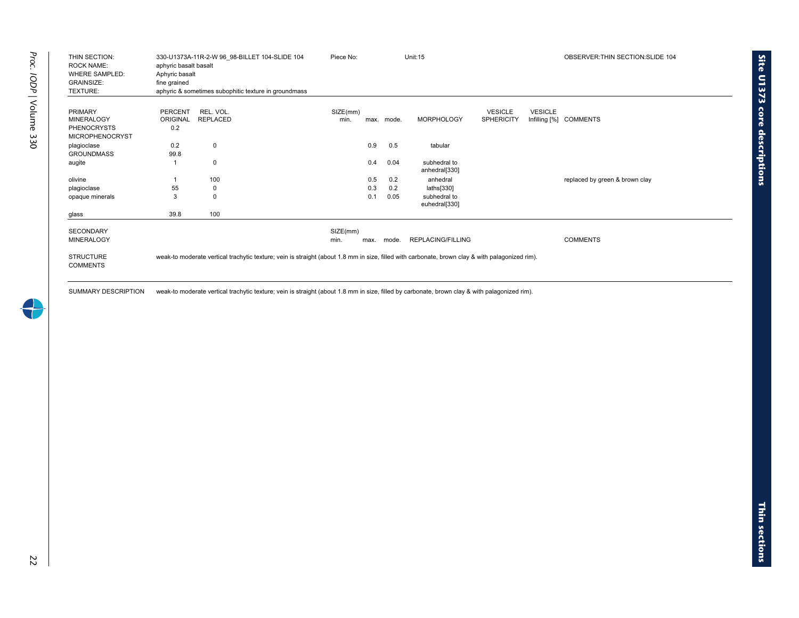| THIN SECTION:<br><b>ROCK NAME:</b><br><b>WHERE SAMPLED:</b><br><b>GRAINSIZE:</b><br>TEXTURE: | aphyric basalt basalt<br>Aphyric basalt<br>fine grained | 330-U1373A-11R-2-W 96 98-BILLET 104-SLIDE 104<br>aphyric & sometimes subophitic texture in groundmass                                           | Piece No:        |      |            | <b>Unit:15</b>                |                                     |                | OBSERVER: THIN SECTION: SLIDE 104 |
|----------------------------------------------------------------------------------------------|---------------------------------------------------------|-------------------------------------------------------------------------------------------------------------------------------------------------|------------------|------|------------|-------------------------------|-------------------------------------|----------------|-----------------------------------|
| <b>PRIMARY</b><br><b>MINERALOGY</b><br><b>PHENOCRYSTS</b><br><b>MICROPHENOCRYST</b>          | <b>PERCENT</b><br>ORIGINAL<br>0.2                       | REL. VOL.<br><b>REPLACED</b>                                                                                                                    | SIZE(mm)<br>min. |      | max. mode. | <b>MORPHOLOGY</b>             | <b>VESICLE</b><br><b>SPHERICITY</b> | <b>VESICLE</b> | Infilling [%] COMMENTS            |
| plagioclase                                                                                  | 0.2                                                     | $\Omega$                                                                                                                                        |                  | 0.9  | 0.5        | tabular                       |                                     |                |                                   |
| <b>GROUNDMASS</b>                                                                            | 99.8                                                    |                                                                                                                                                 |                  |      |            |                               |                                     |                |                                   |
| augite                                                                                       |                                                         | $\mathbf 0$                                                                                                                                     |                  | 0.4  | 0.04       | subhedral to<br>anhedral[330] |                                     |                |                                   |
| olivine                                                                                      |                                                         | 100                                                                                                                                             |                  | 0.5  | 0.2        | anhedral                      |                                     |                | replaced by green & brown clay    |
| plagioclase                                                                                  | 55                                                      | 0                                                                                                                                               |                  | 0.3  | 0.2        | laths[330]                    |                                     |                |                                   |
| opaque minerals                                                                              | 3                                                       | $\Omega$                                                                                                                                        |                  | 0.1  | 0.05       | subhedral to<br>euhedral[330] |                                     |                |                                   |
| glass                                                                                        | 39.8                                                    | 100                                                                                                                                             |                  |      |            |                               |                                     |                |                                   |
| <b>SECONDARY</b><br><b>MINERALOGY</b>                                                        |                                                         |                                                                                                                                                 | SIZE(mm)<br>min. | max. | mode.      | <b>REPLACING/FILLING</b>      |                                     |                | <b>COMMENTS</b>                   |
| <b>STRUCTURE</b><br><b>COMMENTS</b>                                                          |                                                         | weak-to moderate vertical trachytic texture; vein is straight (about 1.8 mm in size, filled with carbonate, brown clay & with palagonized rim). |                  |      |            |                               |                                     |                |                                   |

SUMMARY DESCRIPTION weak-to moderate vertical trachytic texture; vein is straight (about 1.8 mm in size, filled by carbonate, brown clay & with palagonized rim).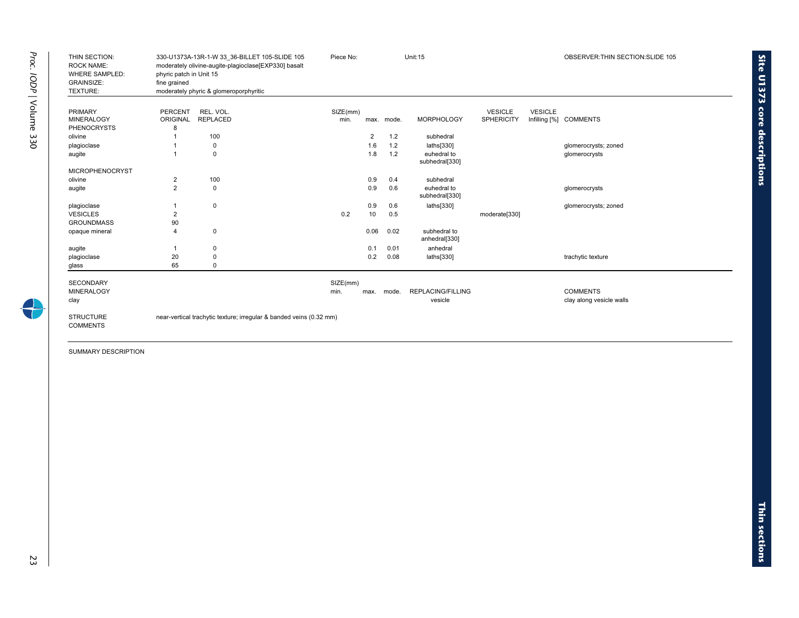| THIN SECTION:<br><b>ROCK NAME:</b><br><b>WHERE SAMPLED:</b><br><b>GRAINSIZE:</b><br>TEXTURE: | phyric patch in Unit 15<br>fine grained | 330-U1373A-13R-1-W 33 36-BILLET 105-SLIDE 105<br>moderately olivine-augite-plagioclase[EXP330] basalt<br>moderately phyric & glomeroporphyritic | Piece No:        |                |            | <b>Unit:15</b>                |                   |                | OBSERVER: THIN SECTION: SLIDE 105           |
|----------------------------------------------------------------------------------------------|-----------------------------------------|-------------------------------------------------------------------------------------------------------------------------------------------------|------------------|----------------|------------|-------------------------------|-------------------|----------------|---------------------------------------------|
| <b>PRIMARY</b>                                                                               | <b>PERCENT</b>                          | REL. VOL.                                                                                                                                       | SIZE(mm)         |                |            |                               | <b>VESICLE</b>    | <b>VESICLE</b> |                                             |
| <b>MINERALOGY</b>                                                                            | <b>ORIGINAL</b>                         | <b>REPLACED</b>                                                                                                                                 | min.             |                | max. mode. | <b>MORPHOLOGY</b>             | <b>SPHERICITY</b> |                | Infilling [%] COMMENTS                      |
| <b>PHENOCRYSTS</b>                                                                           | 8                                       |                                                                                                                                                 |                  |                |            |                               |                   |                |                                             |
| olivine                                                                                      |                                         | 100                                                                                                                                             |                  | $\overline{2}$ | 1.2        | subhedral                     |                   |                |                                             |
| plagioclase                                                                                  |                                         | $\Omega$                                                                                                                                        |                  | 1.6            | 1.2        | laths[330]                    |                   |                | glomerocrysts; zoned                        |
| augite                                                                                       |                                         | $\mathbf 0$                                                                                                                                     |                  | 1.8            | 1.2        | euhedral to<br>subhedral[330] |                   |                | glomerocrysts                               |
| <b>MICROPHENOCRYST</b>                                                                       |                                         |                                                                                                                                                 |                  |                |            |                               |                   |                |                                             |
| olivine                                                                                      | $\overline{2}$                          | 100                                                                                                                                             |                  | 0.9            | 0.4        | subhedral                     |                   |                |                                             |
| augite                                                                                       | $\overline{2}$                          | $\mathbf 0$                                                                                                                                     |                  | 0.9            | 0.6        | euhedral to<br>subhedral[330] |                   |                | glomerocrysts                               |
| plagioclase                                                                                  |                                         | $\mathbf 0$                                                                                                                                     |                  | 0.9            | 0.6        | laths[330]                    |                   |                | glomerocrysts; zoned                        |
| <b>VESICLES</b>                                                                              | $\overline{2}$                          |                                                                                                                                                 | 0.2              | 10             | 0.5        |                               | moderate[330]     |                |                                             |
| <b>GROUNDMASS</b>                                                                            | 90                                      |                                                                                                                                                 |                  |                |            |                               |                   |                |                                             |
| opaque mineral                                                                               | $\overline{4}$                          | $\mathbf 0$                                                                                                                                     |                  | 0.06           | 0.02       | subhedral to<br>anhedral[330] |                   |                |                                             |
| augite                                                                                       |                                         | $\Omega$                                                                                                                                        |                  | 0.1            | 0.01       | anhedral                      |                   |                |                                             |
| plagioclase                                                                                  | 20                                      |                                                                                                                                                 |                  | 0.2            | 0.08       | laths[330]                    |                   |                | trachytic texture                           |
| glass                                                                                        | 65                                      | $\Omega$                                                                                                                                        |                  |                |            |                               |                   |                |                                             |
| <b>SECONDARY</b><br><b>MINERALOGY</b><br>clay                                                |                                         |                                                                                                                                                 | SIZE(mm)<br>min. | max.           | mode.      | REPLACING/FILLING<br>vesicle  |                   |                | <b>COMMENTS</b><br>clay along vesicle walls |
| <b>STRUCTURE</b><br><b>COMMENTS</b>                                                          |                                         | near-vertical trachytic texture; irregular & banded veins (0.32 mm)                                                                             |                  |                |            |                               |                   |                |                                             |

**Site U1373 core**